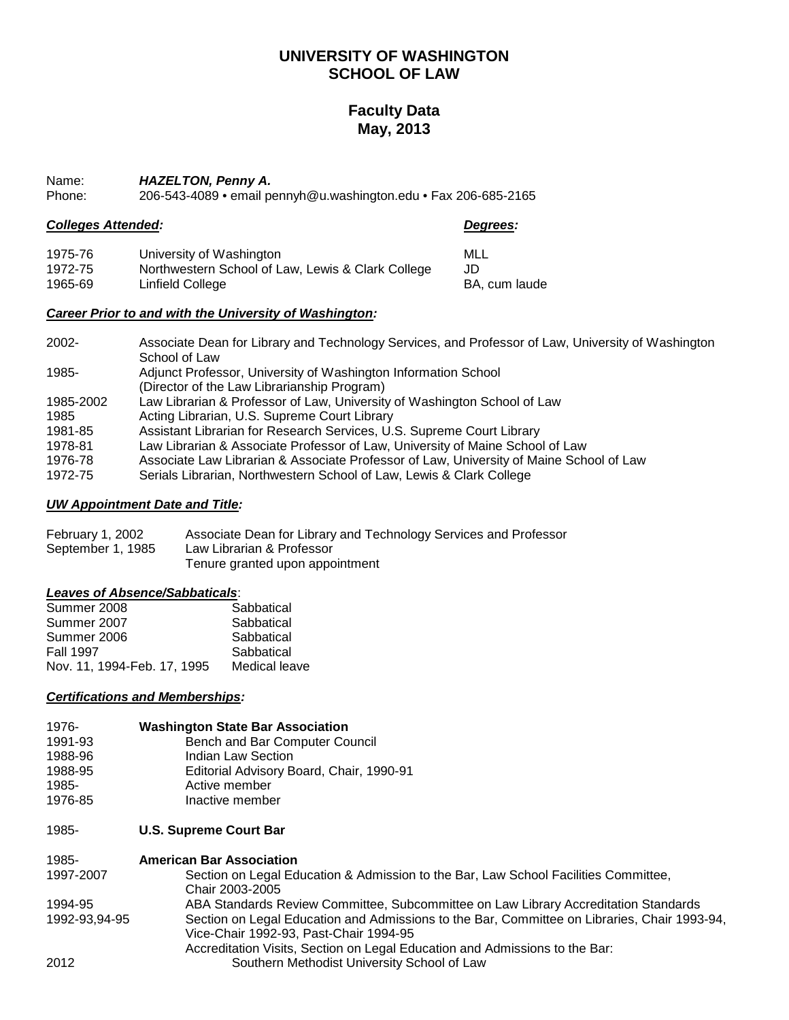## **UNIVERSITY OF WASHINGTON SCHOOL OF LAW**

## **Faculty Data May, 2013**

Name: *HAZELTON, Penny A.*<br>Phone: 206-543-4089 • email po

206-543-4089 • email pennyh@u.washington.edu • Fax 206-685-2165

## *Colleges Attended: Degrees:*

BA, cum laude

| 1975-76 | University of Washington                          | MLL |
|---------|---------------------------------------------------|-----|
| 1972-75 | Northwestern School of Law, Lewis & Clark College | JD  |
| 1965-69 | Linfield College                                  | BA. |

## *Career Prior to and with the University of Washington:*

| $2002 -$  | Associate Dean for Library and Technology Services, and Professor of Law, University of Washington |
|-----------|----------------------------------------------------------------------------------------------------|
|           | School of Law                                                                                      |
| 1985-     | Adjunct Professor, University of Washington Information School                                     |
|           | (Director of the Law Librarianship Program)                                                        |
| 1985-2002 | Law Librarian & Professor of Law, University of Washington School of Law                           |
| 1985      | Acting Librarian, U.S. Supreme Court Library                                                       |
| 1981-85   | Assistant Librarian for Research Services, U.S. Supreme Court Library                              |
| 1978-81   | Law Librarian & Associate Professor of Law, University of Maine School of Law                      |
| 1976-78   | Associate Law Librarian & Associate Professor of Law, University of Maine School of Law            |
| 1972-75   | Serials Librarian, Northwestern School of Law, Lewis & Clark College                               |

## *UW Appointment Date and Title:*

| February 1, 2002  | Associate Dean for Library and Technology Services and Professor |
|-------------------|------------------------------------------------------------------|
| September 1, 1985 | Law Librarian & Professor                                        |
|                   | Tenure granted upon appointment                                  |

## *Leaves of Absence/Sabbaticals*:

| Summer 2008                 | Sabbatical    |
|-----------------------------|---------------|
| Summer 2007                 | Sabbatical    |
| Summer 2006                 | Sabbatical    |
| <b>Fall 1997</b>            | Sabbatical    |
| Nov. 11, 1994-Feb. 17, 1995 | Medical leave |

## *Certifications and Memberships:*

| 1976-   | <b>Washington State Bar Association</b>  |
|---------|------------------------------------------|
| 1991-93 | Bench and Bar Computer Council           |
| 1988-96 | Indian Law Section                       |
| 1988-95 | Editorial Advisory Board, Chair, 1990-91 |
| 1985-   | Active member                            |
| 1976-85 | Inactive member                          |

1985- **U.S. Supreme Court Bar**

| 1985-         | <b>American Bar Association</b>                                                                                                        |
|---------------|----------------------------------------------------------------------------------------------------------------------------------------|
| 1997-2007     | Section on Legal Education & Admission to the Bar, Law School Facilities Committee,<br>Chair 2003-2005                                 |
| 1994-95       | ABA Standards Review Committee, Subcommittee on Law Library Accreditation Standards                                                    |
| 1992-93,94-95 | Section on Legal Education and Admissions to the Bar, Committee on Libraries, Chair 1993-94,<br>Vice-Chair 1992-93, Past-Chair 1994-95 |
|               | Accreditation Visits, Section on Legal Education and Admissions to the Bar:                                                            |
| 2012          | Southern Methodist University School of Law                                                                                            |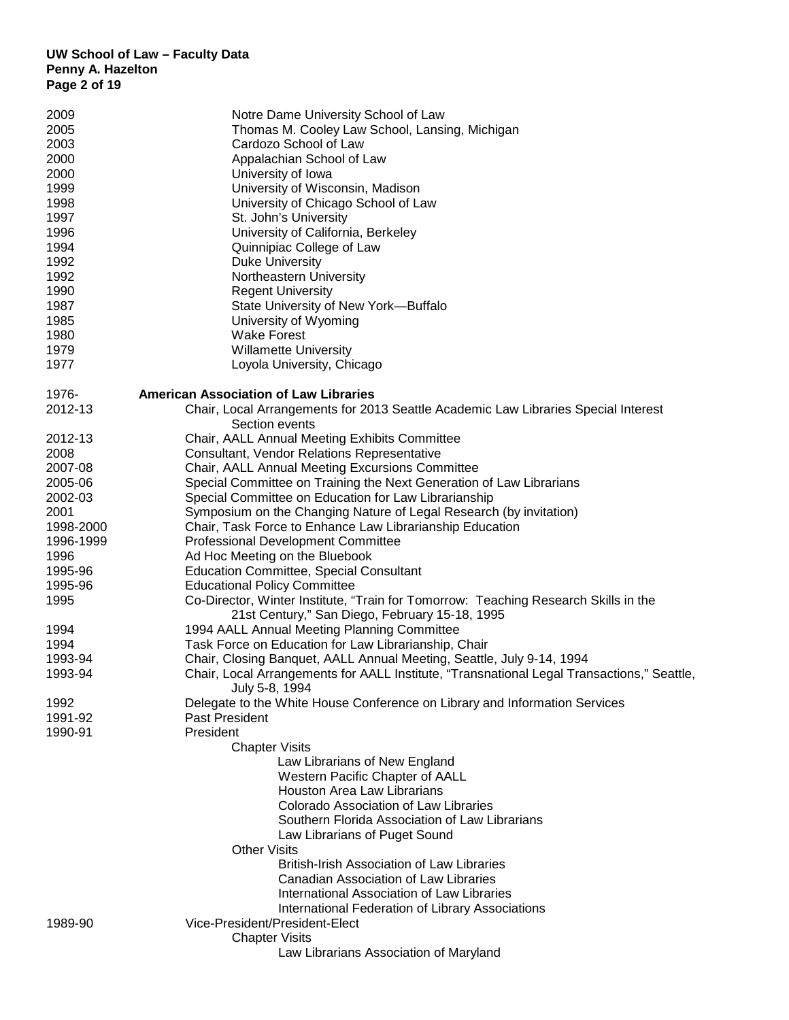## **UW School of Law – Faculty Data Penny A. Hazelton Page 2 of 19**

| 2009               | Notre Dame University School of Law                                                        |
|--------------------|--------------------------------------------------------------------------------------------|
| 2005               | Thomas M. Cooley Law School, Lansing, Michigan                                             |
| 2003               | Cardozo School of Law                                                                      |
| 2000               | Appalachian School of Law                                                                  |
| 2000               | University of Iowa                                                                         |
| 1999               | University of Wisconsin, Madison                                                           |
| 1998               | University of Chicago School of Law                                                        |
| 1997               | St. John's University                                                                      |
| 1996               | University of California, Berkeley                                                         |
| 1994               | Quinnipiac College of Law                                                                  |
| 1992               | <b>Duke University</b>                                                                     |
| 1992               | Northeastern University                                                                    |
| 1990               | <b>Regent University</b>                                                                   |
| 1987               | State University of New York-Buffalo                                                       |
| 1985               | University of Wyoming                                                                      |
| 1980               | <b>Wake Forest</b>                                                                         |
| 1979               | <b>Willamette University</b>                                                               |
| 1977               | Loyola University, Chicago                                                                 |
| 1976-              | <b>American Association of Law Libraries</b>                                               |
| 2012-13            | Chair, Local Arrangements for 2013 Seattle Academic Law Libraries Special Interest         |
|                    | Section events                                                                             |
| 2012-13            | Chair, AALL Annual Meeting Exhibits Committee                                              |
| 2008               | Consultant, Vendor Relations Representative                                                |
| 2007-08            | Chair, AALL Annual Meeting Excursions Committee                                            |
| 2005-06            | Special Committee on Training the Next Generation of Law Librarians                        |
| 2002-03            | Special Committee on Education for Law Librarianship                                       |
| 2001               | Symposium on the Changing Nature of Legal Research (by invitation)                         |
| 1998-2000          | Chair, Task Force to Enhance Law Librarianship Education                                   |
| 1996-1999          | <b>Professional Development Committee</b>                                                  |
| 1996               | Ad Hoc Meeting on the Bluebook                                                             |
| 1995-96            | <b>Education Committee, Special Consultant</b>                                             |
| 1995-96            | <b>Educational Policy Committee</b>                                                        |
| 1995               | Co-Director, Winter Institute, "Train for Tomorrow: Teaching Research Skills in the        |
|                    | 21st Century," San Diego, February 15-18, 1995                                             |
| 1994               | 1994 AALL Annual Meeting Planning Committee                                                |
| 1994               | Task Force on Education for Law Librarianship, Chair                                       |
| 1993-94            | Chair, Closing Banquet, AALL Annual Meeting, Seattle, July 9-14, 1994                      |
| 1993-94            | Chair, Local Arrangements for AALL Institute, "Transnational Legal Transactions," Seattle, |
|                    | July 5-8, 1994                                                                             |
| 1992               | Delegate to the White House Conference on Library and Information Services                 |
| 1991-92<br>1990-91 | Past President<br>President                                                                |
|                    | <b>Chapter Visits</b>                                                                      |
|                    | Law Librarians of New England                                                              |
|                    | Western Pacific Chapter of AALL                                                            |
|                    | <b>Houston Area Law Librarians</b>                                                         |
|                    | <b>Colorado Association of Law Libraries</b>                                               |
|                    | Southern Florida Association of Law Librarians                                             |
|                    | Law Librarians of Puget Sound                                                              |
|                    | <b>Other Visits</b>                                                                        |
|                    | <b>British-Irish Association of Law Libraries</b>                                          |
|                    | Canadian Association of Law Libraries                                                      |
|                    | International Association of Law Libraries                                                 |
|                    | International Federation of Library Associations                                           |
| 1989-90            | Vice-President/President-Elect                                                             |
|                    | <b>Chapter Visits</b>                                                                      |
|                    | Law Librarians Association of Maryland                                                     |
|                    |                                                                                            |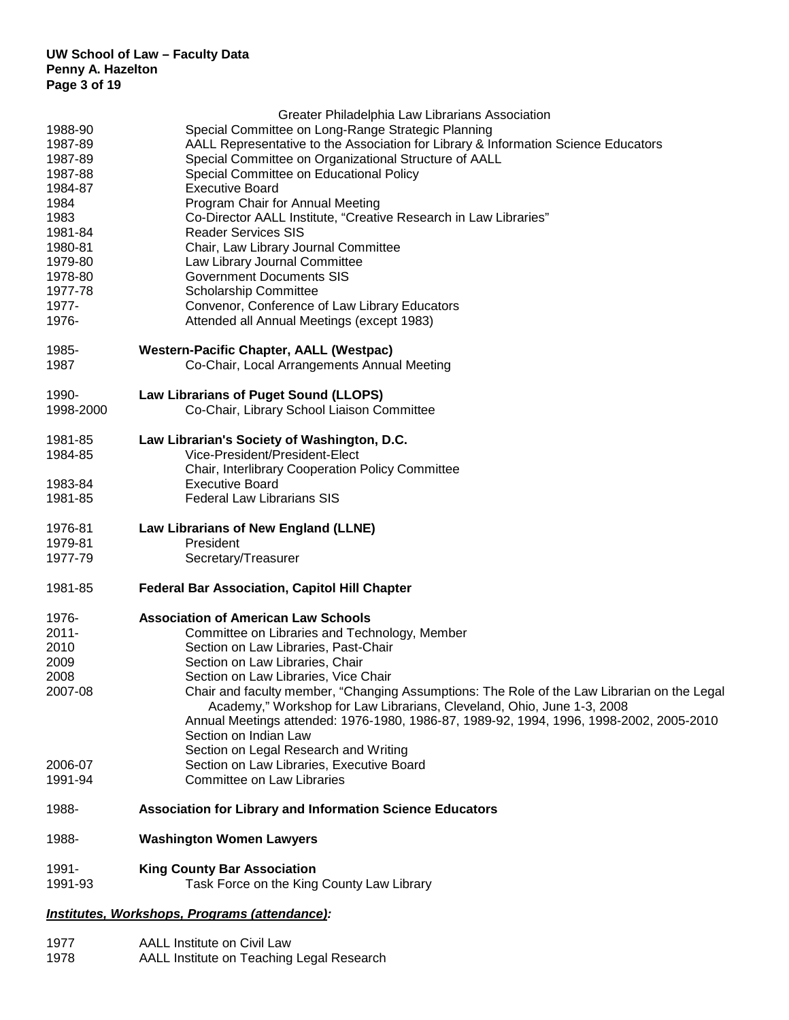|                                               | Greater Philadelphia Law Librarians Association                                             |
|-----------------------------------------------|---------------------------------------------------------------------------------------------|
| 1988-90                                       | Special Committee on Long-Range Strategic Planning                                          |
| 1987-89                                       | AALL Representative to the Association for Library & Information Science Educators          |
| 1987-89                                       | Special Committee on Organizational Structure of AALL                                       |
| 1987-88                                       | Special Committee on Educational Policy                                                     |
| 1984-87                                       | <b>Executive Board</b>                                                                      |
| 1984                                          | Program Chair for Annual Meeting                                                            |
| 1983                                          | Co-Director AALL Institute, "Creative Research in Law Libraries"                            |
| 1981-84                                       | <b>Reader Services SIS</b>                                                                  |
| 1980-81<br>1979-80                            | Chair, Law Library Journal Committee<br>Law Library Journal Committee                       |
| 1978-80                                       | <b>Government Documents SIS</b>                                                             |
| 1977-78                                       | <b>Scholarship Committee</b>                                                                |
| 1977-                                         | Convenor, Conference of Law Library Educators                                               |
| 1976-                                         | Attended all Annual Meetings (except 1983)                                                  |
| 1985-                                         | <b>Western-Pacific Chapter, AALL (Westpac)</b>                                              |
| 1987                                          | Co-Chair, Local Arrangements Annual Meeting                                                 |
| 1990-                                         | <b>Law Librarians of Puget Sound (LLOPS)</b>                                                |
| 1998-2000                                     | Co-Chair, Library School Liaison Committee                                                  |
| 1981-85                                       | Law Librarian's Society of Washington, D.C.                                                 |
| 1984-85                                       | Vice-President/President-Elect                                                              |
| 1983-84                                       | Chair, Interlibrary Cooperation Policy Committee<br><b>Executive Board</b>                  |
| 1981-85                                       | <b>Federal Law Librarians SIS</b>                                                           |
|                                               |                                                                                             |
| 1976-81                                       | Law Librarians of New England (LLNE)                                                        |
| 1979-81                                       | President                                                                                   |
| 1977-79                                       | Secretary/Treasurer                                                                         |
| 1981-85                                       | <b>Federal Bar Association, Capitol Hill Chapter</b>                                        |
| 1976-                                         | <b>Association of American Law Schools</b>                                                  |
| 2011-                                         | Committee on Libraries and Technology, Member                                               |
| 2010                                          | Section on Law Libraries, Past-Chair                                                        |
| 2009                                          | Section on Law Libraries, Chair                                                             |
| 2008                                          | Section on Law Libraries, Vice Chair                                                        |
| 2007-08                                       | Chair and faculty member, "Changing Assumptions: The Role of the Law Librarian on the Legal |
|                                               | Academy," Workshop for Law Librarians, Cleveland, Ohio, June 1-3, 2008                      |
|                                               | Annual Meetings attended: 1976-1980, 1986-87, 1989-92, 1994, 1996, 1998-2002, 2005-2010     |
|                                               | Section on Indian Law                                                                       |
| 2006-07                                       | Section on Legal Research and Writing<br>Section on Law Libraries, Executive Board          |
| 1991-94                                       | Committee on Law Libraries                                                                  |
| 1988-                                         | <b>Association for Library and Information Science Educators</b>                            |
| 1988-                                         | <b>Washington Women Lawyers</b>                                                             |
| 1991-                                         | <b>King County Bar Association</b>                                                          |
| 1991-93                                       | Task Force on the King County Law Library                                                   |
| Institutes, Workshops, Programs (attendance): |                                                                                             |

1977 AALL Institute on Civil Law 1978 AALL Institute on Teaching Legal Research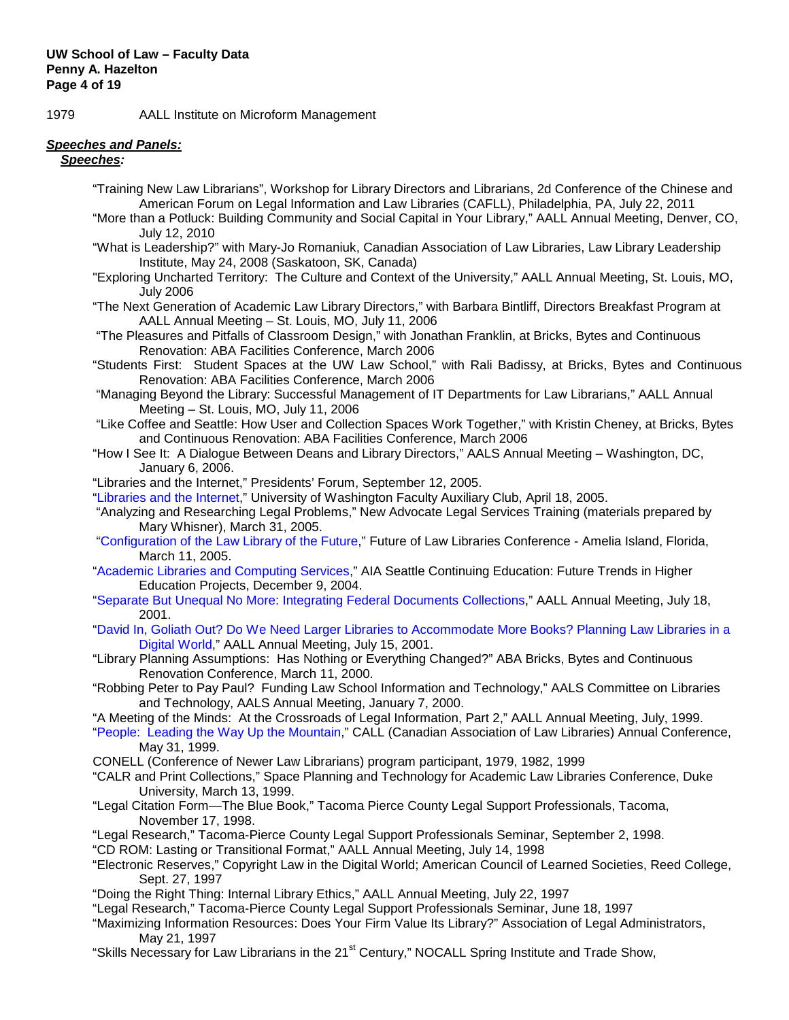1979 AALL Institute on Microform Management

## *Speeches and Panels:*

 *Speeches:*

- "Training New Law Librarians", Workshop for Library Directors and Librarians, 2d Conference of the Chinese and American Forum on Legal Information and Law Libraries (CAFLL), Philadelphia, PA, July 22, 2011
- "More than a Potluck: Building Community and Social Capital in Your Library," AALL Annual Meeting, Denver, CO, July 12, 2010
- "What is Leadership?" with Mary-Jo Romaniuk, Canadian Association of Law Libraries, Law Library Leadership Institute, May 24, 2008 (Saskatoon, SK, Canada)
- "Exploring Uncharted Territory: The Culture and Context of the University," AALL Annual Meeting, St. Louis, MO, July 2006
- "The Next Generation of Academic Law Library Directors," with Barbara Bintliff, Directors Breakfast Program at AALL Annual Meeting – St. Louis, MO, July 11, 2006
- "The Pleasures and Pitfalls of Classroom Design," with Jonathan Franklin, at Bricks, Bytes and Continuous Renovation: ABA Facilities Conference, March 2006
- "Students First: Student Spaces at the UW Law School," with Rali Badissy, at Bricks, Bytes and Continuous Renovation: ABA Facilities Conference, March 2006
- "Managing Beyond the Library: Successful Management of IT Departments for Law Librarians," AALL Annual Meeting – St. Louis, MO, July 11, 2006
- "Like Coffee and Seattle: How User and Collection Spaces Work Together," with Kristin Cheney, at Bricks, Bytes and Continuous Renovation: ABA Facilities Conference, March 2006
- "How I See It: A Dialogue Between Deans and Library Directors," AALS Annual Meeting Washington, DC, January 6, 2006.
- "Libraries and the Internet," Presidents' Forum, September 12, 2005.
- ["Libraries and the Internet,](http://www.law.washington.edu/Faculty/Hazelton/Libraries_Internet.ppt)" University of Washington Faculty Auxiliary Club, April 18, 2005.
- "Analyzing and Researching Legal Problems," New Advocate Legal Services Training (materials prepared by Mary Whisner), March 31, 2005.
- "Configuration of the [Law Library of the Future,](http://www.law.washington.edu/Faculty/Hazelton/Config_lawlib_future.ppt)" Future of Law Libraries Conference Amelia Island, Florida, March 11, 2005.
- ["Academic Libraries and Computing Services,](http://www.law.washington.edu/Faculty/Hazelton/AIA%20presentation.ppt)" AIA Seattle Continuing Education: Future Trends in Higher Education Projects, December 9, 2004.
- "Separate But Unequal No More: Integrating Federal Documents Collections," AALL Annual Meeting, July 18, 2001.
- "David In, Goliath Out? Do We Need Larger Libraries to Accommodate More Books? Planning Law Libraries in a Digital World," AALL Annual Meeting, July 15, 2001.
- "Library Planning Assumptions: Has Nothing or Everything Changed?" ABA Bricks, Bytes and Continuous Renovation Conference, March 11, 2000.
- "Robbing Peter to Pay Paul? Funding Law School Information and Technology," AALS Committee on Libraries and Technology, AALS Annual Meeting, January 7, 2000.
- "A Meeting of the Minds: At the Crossroads of Legal Information, Part 2," AALL Annual Meeting, July, 1999.
- "People: Leading the Way Up the Mountain," CALL (Canadian Association of Law Libraries) Annual Conference, May 31, 1999.
- CONELL (Conference of Newer Law Librarians) program participant, 1979, 1982, 1999
- "CALR and Print Collections," Space Planning and Technology for Academic Law Libraries Conference, Duke University, March 13, 1999.
- "Legal Citation Form—The Blue Book," Tacoma Pierce County Legal Support Professionals, Tacoma, November 17, 1998.
- "Legal Research," Tacoma-Pierce County Legal Support Professionals Seminar, September 2, 1998.
- "CD ROM: Lasting or Transitional Format," AALL Annual Meeting, July 14, 1998
- "Electronic Reserves," Copyright Law in the Digital World; American Council of Learned Societies, Reed College, Sept. 27, 1997
- "Doing the Right Thing: Internal Library Ethics," AALL Annual Meeting, July 22, 1997
- "Legal Research," Tacoma-Pierce County Legal Support Professionals Seminar, June 18, 1997
- "Maximizing Information Resources: Does Your Firm Value Its Library?" Association of Legal Administrators, May 21, 1997
- "Skills Necessary for Law Librarians in the 21<sup>st</sup> Century," NOCALL Spring Institute and Trade Show,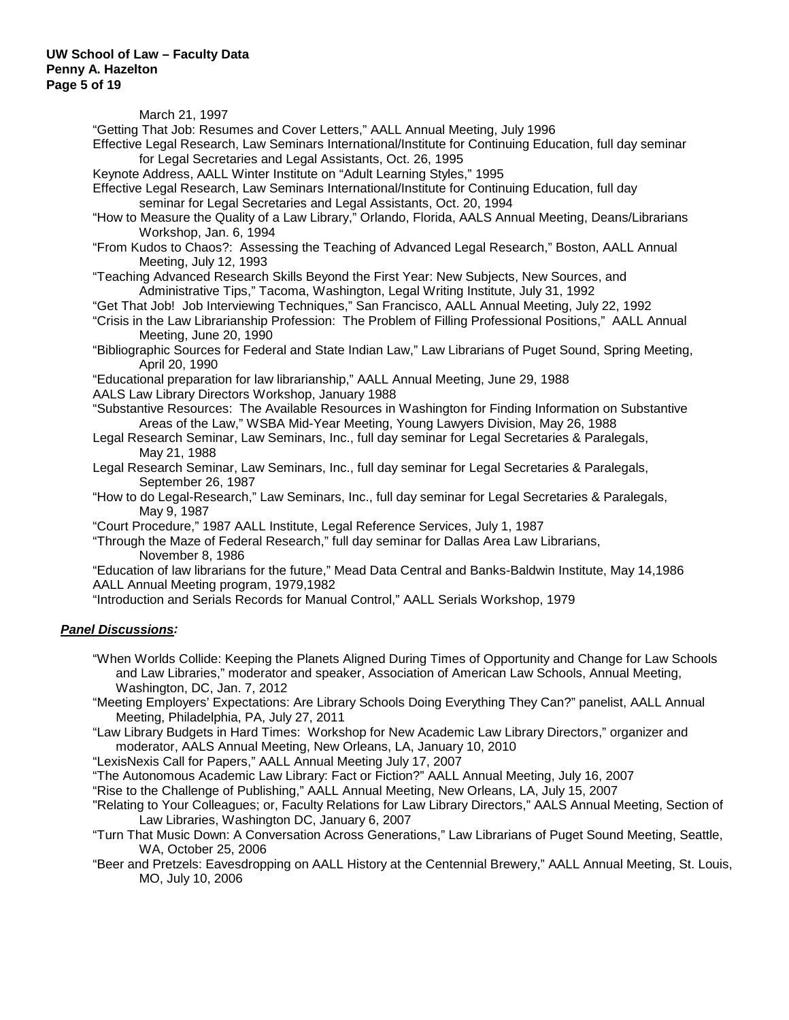March 21, 1997

"Getting That Job: Resumes and Cover Letters," AALL Annual Meeting, July 1996 Effective Legal Research, Law Seminars International/Institute for Continuing Education, full day seminar for Legal Secretaries and Legal Assistants, Oct. 26, 1995

Keynote Address, AALL Winter Institute on "Adult Learning Styles," 1995

Effective Legal Research, Law Seminars International/Institute for Continuing Education, full day seminar for Legal Secretaries and Legal Assistants, Oct. 20, 1994

"How to Measure the Quality of a Law Library," Orlando, Florida, AALS Annual Meeting, Deans/Librarians Workshop, Jan. 6, 1994

"From Kudos to Chaos?: Assessing the Teaching of Advanced Legal Research," Boston, AALL Annual Meeting, July 12, 1993

"Teaching Advanced Research Skills Beyond the First Year: New Subjects, New Sources, and Administrative Tips," Tacoma, Washington, Legal Writing Institute, July 31, 1992

"Get That Job! Job Interviewing Techniques," San Francisco, AALL Annual Meeting, July 22, 1992

"Crisis in the Law Librarianship Profession: The Problem of Filling Professional Positions," AALL Annual Meeting, June 20, 1990

"Bibliographic Sources for Federal and State Indian Law," Law Librarians of Puget Sound, Spring Meeting, April 20, 1990

"Educational preparation for law librarianship," AALL Annual Meeting, June 29, 1988

AALS Law Library Directors Workshop, January 1988

"Substantive Resources: The Available Resources in Washington for Finding Information on Substantive Areas of the Law," WSBA Mid-Year Meeting, Young Lawyers Division, May 26, 1988

Legal Research Seminar, Law Seminars, Inc., full day seminar for Legal Secretaries & Paralegals, May 21, 1988

Legal Research Seminar, Law Seminars, Inc., full day seminar for Legal Secretaries & Paralegals, September 26, 1987

"How to do Legal-Research," Law Seminars, Inc., full day seminar for Legal Secretaries & Paralegals, May 9, 1987

"Court Procedure," 1987 AALL Institute, Legal Reference Services, July 1, 1987

"Through the Maze of Federal Research," full day seminar for Dallas Area Law Librarians, November 8, 1986

"Education of law librarians for the future," Mead Data Central and Banks-Baldwin Institute, May 14,1986 AALL Annual Meeting program, 1979,1982

"Introduction and Serials Records for Manual Control," AALL Serials Workshop, 1979

## *Panel Discussions:*

"When Worlds Collide: Keeping the Planets Aligned During Times of Opportunity and Change for Law Schools and Law Libraries," moderator and speaker, Association of American Law Schools, Annual Meeting, Washington, DC, Jan. 7, 2012

"Meeting Employers' Expectations: Are Library Schools Doing Everything They Can?" panelist, AALL Annual Meeting, Philadelphia, PA, July 27, 2011

"Law Library Budgets in Hard Times: Workshop for New Academic Law Library Directors," organizer and moderator, AALS Annual Meeting, New Orleans, LA, January 10, 2010

"LexisNexis Call for Papers," AALL Annual Meeting July 17, 2007

"The Autonomous Academic Law Library: Fact or Fiction?" AALL Annual Meeting, July 16, 2007

"Rise to the Challenge of Publishing," AALL Annual Meeting, New Orleans, LA, July 15, 2007

"Relating to Your Colleagues; or, Faculty Relations for Law Library Directors," AALS Annual Meeting, Section of Law Libraries, Washington DC, January 6, 2007

"Turn That Music Down: A Conversation Across Generations," Law Librarians of Puget Sound Meeting, Seattle, WA, October 25, 2006

"Beer and Pretzels: Eavesdropping on AALL History at the Centennial Brewery," AALL Annual Meeting, St. Louis, MO, July 10, 2006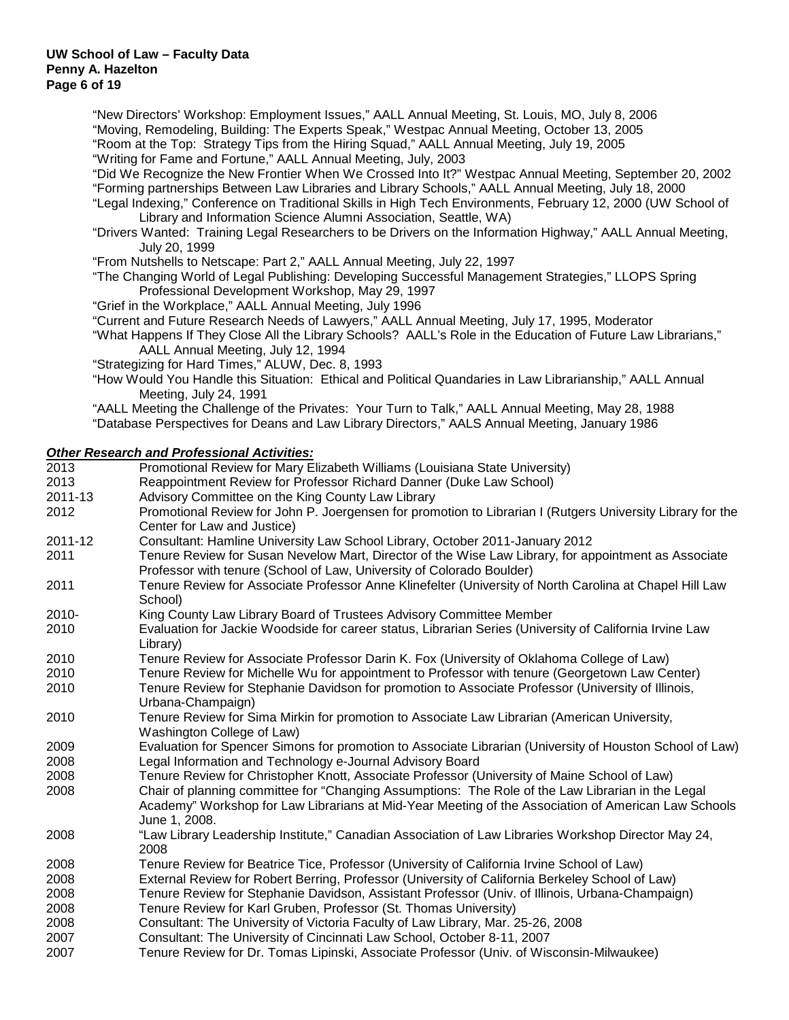"New Directors' Workshop: Employment Issues," AALL Annual Meeting, St. Louis, MO, July 8, 2006 "Moving, Remodeling, Building: The Experts Speak," Westpac Annual Meeting, October 13, 2005 "Room at the Top: Strategy Tips from the Hiring Squad," AALL Annual Meeting, July 19, 2005 "Writing for Fame and Fortune," AALL Annual Meeting, July, 2003

"Did We Recognize the New Frontier When We Crossed Into It?" Westpac Annual Meeting, September 20, 2002

"Forming partnerships Between Law Libraries and Library Schools," AALL Annual Meeting, July 18, 2000

"Legal Indexing," Conference on Traditional Skills in High Tech Environments, February 12, 2000 (UW School of Library and Information Science Alumni Association, Seattle, WA)

"Drivers Wanted: Training Legal Researchers to be Drivers on the Information Highway," AALL Annual Meeting, July 20, 1999

"From Nutshells to Netscape: Part 2," AALL Annual Meeting, July 22, 1997

"The Changing World of Legal Publishing: Developing Successful Management Strategies," LLOPS Spring Professional Development Workshop, May 29, 1997

"Grief in the Workplace," AALL Annual Meeting, July 1996

"Current and Future Research Needs of Lawyers," AALL Annual Meeting, July 17, 1995, Moderator

"What Happens If They Close All the Library Schools? AALL's Role in the Education of Future Law Librarians," AALL Annual Meeting, July 12, 1994

"Strategizing for Hard Times," ALUW, Dec. 8, 1993

"How Would You Handle this Situation: Ethical and Political Quandaries in Law Librarianship," AALL Annual Meeting, July 24, 1991

"AALL Meeting the Challenge of the Privates: Your Turn to Talk," AALL Annual Meeting, May 28, 1988

"Database Perspectives for Deans and Law Library Directors," AALS Annual Meeting, January 1986

## *Other Research and Professional Activities:*

| 2013     | Promotional Review for Mary Elizabeth Williams (Louisiana State University)                                                                                                                                               |
|----------|---------------------------------------------------------------------------------------------------------------------------------------------------------------------------------------------------------------------------|
| 2013     | Reappointment Review for Professor Richard Danner (Duke Law School)                                                                                                                                                       |
| 2011-13  | Advisory Committee on the King County Law Library                                                                                                                                                                         |
| 2012     | Promotional Review for John P. Joergensen for promotion to Librarian I (Rutgers University Library for the<br>Center for Law and Justice)                                                                                 |
| 2011-12  | Consultant: Hamline University Law School Library, October 2011-January 2012                                                                                                                                              |
| 2011     | Tenure Review for Susan Nevelow Mart, Director of the Wise Law Library, for appointment as Associate<br>Professor with tenure (School of Law, University of Colorado Boulder)                                             |
| 2011     | Tenure Review for Associate Professor Anne Klinefelter (University of North Carolina at Chapel Hill Law<br>School)                                                                                                        |
| $2010 -$ | King County Law Library Board of Trustees Advisory Committee Member                                                                                                                                                       |
| 2010     | Evaluation for Jackie Woodside for career status, Librarian Series (University of California Irvine Law<br>Library)                                                                                                       |
| 2010     | Tenure Review for Associate Professor Darin K. Fox (University of Oklahoma College of Law)                                                                                                                                |
| 2010     | Tenure Review for Michelle Wu for appointment to Professor with tenure (Georgetown Law Center)                                                                                                                            |
| 2010     | Tenure Review for Stephanie Davidson for promotion to Associate Professor (University of Illinois,<br>Urbana-Champaign)                                                                                                   |
| 2010     | Tenure Review for Sima Mirkin for promotion to Associate Law Librarian (American University,<br>Washington College of Law)                                                                                                |
| 2009     | Evaluation for Spencer Simons for promotion to Associate Librarian (University of Houston School of Law)                                                                                                                  |
| 2008     | Legal Information and Technology e-Journal Advisory Board                                                                                                                                                                 |
| 2008     | Tenure Review for Christopher Knott, Associate Professor (University of Maine School of Law)                                                                                                                              |
| 2008     | Chair of planning committee for "Changing Assumptions: The Role of the Law Librarian in the Legal<br>Academy" Workshop for Law Librarians at Mid-Year Meeting of the Association of American Law Schools<br>June 1, 2008. |
| 2008     | "Law Library Leadership Institute," Canadian Association of Law Libraries Workshop Director May 24,<br>2008                                                                                                               |
| 2008     | Tenure Review for Beatrice Tice, Professor (University of California Irvine School of Law)                                                                                                                                |
| 2008     | External Review for Robert Berring, Professor (University of California Berkeley School of Law)                                                                                                                           |
| 2008     | Tenure Review for Stephanie Davidson, Assistant Professor (Univ. of Illinois, Urbana-Champaign)                                                                                                                           |
| 2008     | Tenure Review for Karl Gruben, Professor (St. Thomas University)                                                                                                                                                          |
| 2008     | Consultant: The University of Victoria Faculty of Law Library, Mar. 25-26, 2008                                                                                                                                           |
| 2007     | Consultant: The University of Cincinnati Law School, October 8-11, 2007                                                                                                                                                   |
| 2007     | Tenure Review for Dr. Tomas Lipinski, Associate Professor (Univ. of Wisconsin-Milwaukee)                                                                                                                                  |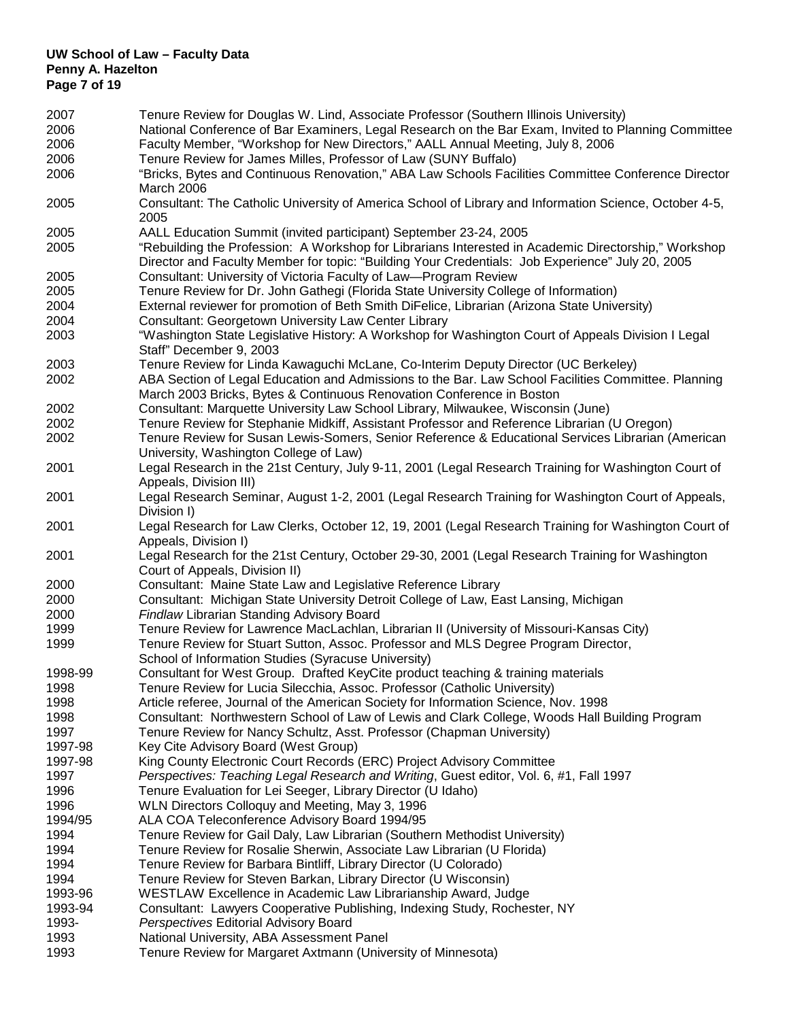## **UW School of Law – Faculty Data Penny A. Hazelton Page 7 of 19**

| 2007    | Tenure Review for Douglas W. Lind, Associate Professor (Southern Illinois University)                                                                                                                    |
|---------|----------------------------------------------------------------------------------------------------------------------------------------------------------------------------------------------------------|
| 2006    | National Conference of Bar Examiners, Legal Research on the Bar Exam, Invited to Planning Committee                                                                                                      |
| 2006    | Faculty Member, "Workshop for New Directors," AALL Annual Meeting, July 8, 2006                                                                                                                          |
| 2006    | Tenure Review for James Milles, Professor of Law (SUNY Buffalo)                                                                                                                                          |
| 2006    | "Bricks, Bytes and Continuous Renovation," ABA Law Schools Facilities Committee Conference Director                                                                                                      |
|         | March 2006                                                                                                                                                                                               |
| 2005    | Consultant: The Catholic University of America School of Library and Information Science, October 4-5,<br>2005                                                                                           |
| 2005    | AALL Education Summit (invited participant) September 23-24, 2005                                                                                                                                        |
| 2005    | "Rebuilding the Profession: A Workshop for Librarians Interested in Academic Directorship," Workshop<br>Director and Faculty Member for topic: "Building Your Credentials: Job Experience" July 20, 2005 |
| 2005    | Consultant: University of Victoria Faculty of Law-Program Review                                                                                                                                         |
| 2005    | Tenure Review for Dr. John Gathegi (Florida State University College of Information)                                                                                                                     |
| 2004    | External reviewer for promotion of Beth Smith DiFelice, Librarian (Arizona State University)                                                                                                             |
| 2004    | Consultant: Georgetown University Law Center Library                                                                                                                                                     |
| 2003    | "Washington State Legislative History: A Workshop for Washington Court of Appeals Division I Legal<br>Staff" December 9, 2003                                                                            |
| 2003    | Tenure Review for Linda Kawaguchi McLane, Co-Interim Deputy Director (UC Berkeley)                                                                                                                       |
| 2002    | ABA Section of Legal Education and Admissions to the Bar. Law School Facilities Committee. Planning<br>March 2003 Bricks, Bytes & Continuous Renovation Conference in Boston                             |
| 2002    | Consultant: Marquette University Law School Library, Milwaukee, Wisconsin (June)                                                                                                                         |
| 2002    | Tenure Review for Stephanie Midkiff, Assistant Professor and Reference Librarian (U Oregon)                                                                                                              |
| 2002    | Tenure Review for Susan Lewis-Somers, Senior Reference & Educational Services Librarian (American<br>University, Washington College of Law)                                                              |
| 2001    | Legal Research in the 21st Century, July 9-11, 2001 (Legal Research Training for Washington Court of<br>Appeals, Division III)                                                                           |
| 2001    | Legal Research Seminar, August 1-2, 2001 (Legal Research Training for Washington Court of Appeals,<br>Division I)                                                                                        |
| 2001    | Legal Research for Law Clerks, October 12, 19, 2001 (Legal Research Training for Washington Court of<br>Appeals, Division I)                                                                             |
| 2001    | Legal Research for the 21st Century, October 29-30, 2001 (Legal Research Training for Washington<br>Court of Appeals, Division II)                                                                       |
| 2000    | Consultant: Maine State Law and Legislative Reference Library                                                                                                                                            |
| 2000    | Consultant: Michigan State University Detroit College of Law, East Lansing, Michigan                                                                                                                     |
| 2000    | Findlaw Librarian Standing Advisory Board                                                                                                                                                                |
| 1999    | Tenure Review for Lawrence MacLachlan, Librarian II (University of Missouri-Kansas City)                                                                                                                 |
| 1999    | Tenure Review for Stuart Sutton, Assoc. Professor and MLS Degree Program Director,                                                                                                                       |
|         | School of Information Studies (Syracuse University)                                                                                                                                                      |
| 1998-99 | Consultant for West Group. Drafted KeyCite product teaching & training materials                                                                                                                         |
| 1998    | Tenure Review for Lucia Silecchia, Assoc. Professor (Catholic University)                                                                                                                                |
| 1998    | Article referee, Journal of the American Society for Information Science, Nov. 1998                                                                                                                      |
| 1998    | Consultant: Northwestern School of Law of Lewis and Clark College, Woods Hall Building Program                                                                                                           |
| 1997    | Tenure Review for Nancy Schultz, Asst. Professor (Chapman University)                                                                                                                                    |
| 1997-98 | Key Cite Advisory Board (West Group)                                                                                                                                                                     |
|         |                                                                                                                                                                                                          |
| 1997-98 | King County Electronic Court Records (ERC) Project Advisory Committee                                                                                                                                    |
| 1997    | Perspectives: Teaching Legal Research and Writing, Guest editor, Vol. 6, #1, Fall 1997                                                                                                                   |
| 1996    | Tenure Evaluation for Lei Seeger, Library Director (U Idaho)                                                                                                                                             |
| 1996    | WLN Directors Colloquy and Meeting, May 3, 1996                                                                                                                                                          |
| 1994/95 | ALA COA Teleconference Advisory Board 1994/95                                                                                                                                                            |
| 1994    | Tenure Review for Gail Daly, Law Librarian (Southern Methodist University)                                                                                                                               |
| 1994    | Tenure Review for Rosalie Sherwin, Associate Law Librarian (U Florida)                                                                                                                                   |
| 1994    | Tenure Review for Barbara Bintliff, Library Director (U Colorado)                                                                                                                                        |
| 1994    | Tenure Review for Steven Barkan, Library Director (U Wisconsin)                                                                                                                                          |
| 1993-96 | WESTLAW Excellence in Academic Law Librarianship Award, Judge                                                                                                                                            |
| 1993-94 | Consultant: Lawyers Cooperative Publishing, Indexing Study, Rochester, NY                                                                                                                                |
| 1993-   | Perspectives Editorial Advisory Board                                                                                                                                                                    |
| 1993    | National University, ABA Assessment Panel                                                                                                                                                                |
| 1993    | Tenure Review for Margaret Axtmann (University of Minnesota)                                                                                                                                             |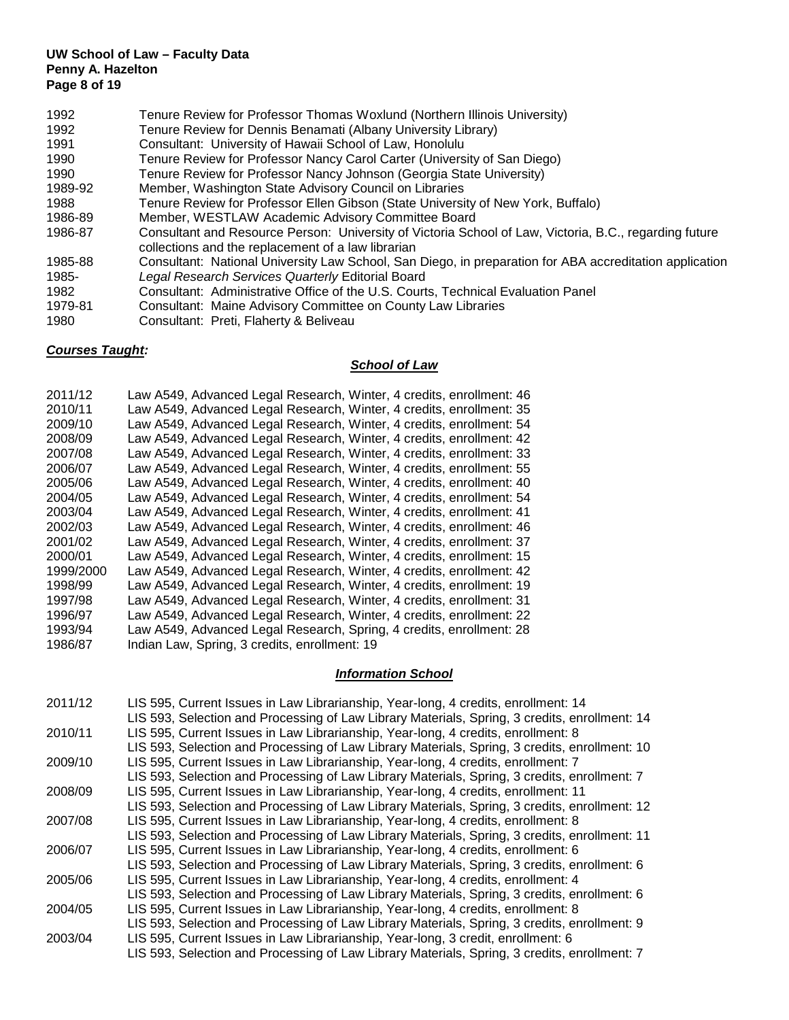## **UW School of Law – Faculty Data Penny A. Hazelton Page 8 of 19**

- 1992 Tenure Review for Professor Thomas Woxlund (Northern Illinois University)
- 1992 Tenure Review for Dennis Benamati (Albany University Library)<br>1991 Consultant: University of Hawaii School of Law. Honolulu
- 1991 Consultant: University of Hawaii School of Law, Honolulu<br>1990 Tenure Review for Professor Nancy Carol Carter (Univers
- Tenure Review for Professor Nancy Carol Carter (University of San Diego)
- 1990 Tenure Review for Professor Nancy Johnson (Georgia State University)
- 1989-92 Member, Washington State Advisory Council on Libraries
- 1988 Tenure Review for Professor Ellen Gibson (State University of New York, Buffalo)
- 1986-89 Member, WESTLAW Academic Advisory Committee Board
- Consultant and Resource Person: University of Victoria School of Law, Victoria, B.C., regarding future collections and the replacement of a law librarian
- 1985-88 Consultant: National University Law School, San Diego, in preparation for ABA accreditation application 1985- *Legal Research Services Quarterly* Editorial Board
- Consultant: Administrative Office of the U.S. Courts, Technical Evaluation Panel
- 1979-81 Consultant: Maine Advisory Committee on County Law Libraries
- 1980 Consultant: Preti, Flaherty & Beliveau

## *Courses Taught:*

## *School of Law*

## *Information School*

| 2011/12 | LIS 595, Current Issues in Law Librarianship, Year-long, 4 credits, enrollment: 14<br>LIS 593, Selection and Processing of Law Library Materials, Spring, 3 credits, enrollment: 14 |
|---------|-------------------------------------------------------------------------------------------------------------------------------------------------------------------------------------|
| 2010/11 | LIS 595, Current Issues in Law Librarianship, Year-long, 4 credits, enrollment: 8                                                                                                   |
|         | LIS 593, Selection and Processing of Law Library Materials, Spring, 3 credits, enrollment: 10                                                                                       |
| 2009/10 | LIS 595, Current Issues in Law Librarianship, Year-long, 4 credits, enrollment: 7                                                                                                   |
|         | LIS 593, Selection and Processing of Law Library Materials, Spring, 3 credits, enrollment: 7                                                                                        |
| 2008/09 | LIS 595, Current Issues in Law Librarianship, Year-long, 4 credits, enrollment: 11                                                                                                  |
|         | LIS 593, Selection and Processing of Law Library Materials, Spring, 3 credits, enrollment: 12                                                                                       |
| 2007/08 | LIS 595, Current Issues in Law Librarianship, Year-long, 4 credits, enrollment: 8                                                                                                   |
|         | LIS 593, Selection and Processing of Law Library Materials, Spring, 3 credits, enrollment: 11                                                                                       |
| 2006/07 | LIS 595, Current Issues in Law Librarianship, Year-long, 4 credits, enrollment: 6                                                                                                   |
|         | LIS 593, Selection and Processing of Law Library Materials, Spring, 3 credits, enrollment: 6                                                                                        |
| 2005/06 | LIS 595, Current Issues in Law Librarianship, Year-long, 4 credits, enrollment: 4                                                                                                   |
|         | LIS 593, Selection and Processing of Law Library Materials, Spring, 3 credits, enrollment: 6                                                                                        |
| 2004/05 | LIS 595, Current Issues in Law Librarianship, Year-long, 4 credits, enrollment: 8                                                                                                   |
|         | LIS 593, Selection and Processing of Law Library Materials, Spring, 3 credits, enrollment: 9                                                                                        |
| 2003/04 | LIS 595, Current Issues in Law Librarianship, Year-long, 3 credit, enrollment: 6                                                                                                    |
|         | LIS 593, Selection and Processing of Law Library Materials, Spring, 3 credits, enrollment: 7                                                                                        |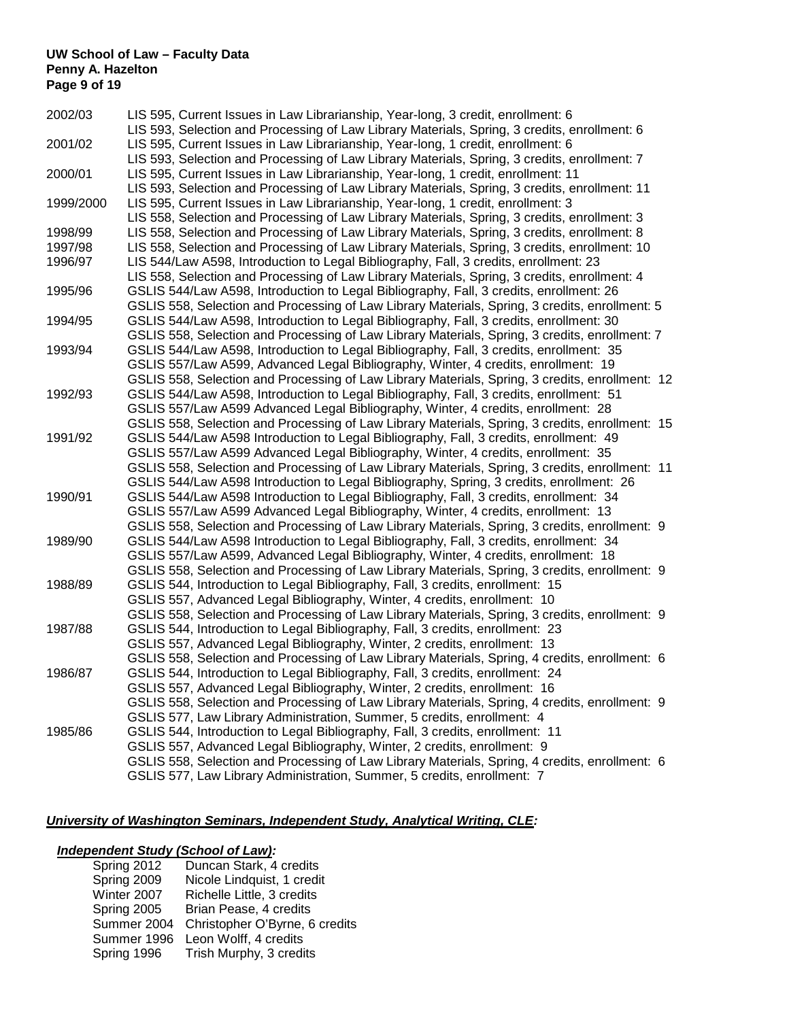## **UW School of Law – Faculty Data Penny A. Hazelton Page 9 of 19**

| 2002/03   | LIS 595, Current Issues in Law Librarianship, Year-long, 3 credit, enrollment: 6<br>LIS 593, Selection and Processing of Law Library Materials, Spring, 3 credits, enrollment: 6                                                                                                   |  |
|-----------|------------------------------------------------------------------------------------------------------------------------------------------------------------------------------------------------------------------------------------------------------------------------------------|--|
| 2001/02   | LIS 595, Current Issues in Law Librarianship, Year-long, 1 credit, enrollment: 6                                                                                                                                                                                                   |  |
| 2000/01   | LIS 593, Selection and Processing of Law Library Materials, Spring, 3 credits, enrollment: 7<br>LIS 595, Current Issues in Law Librarianship, Year-long, 1 credit, enrollment: 11<br>LIS 593, Selection and Processing of Law Library Materials, Spring, 3 credits, enrollment: 11 |  |
| 1999/2000 | LIS 595, Current Issues in Law Librarianship, Year-long, 1 credit, enrollment: 3<br>LIS 558, Selection and Processing of Law Library Materials, Spring, 3 credits, enrollment: 3                                                                                                   |  |
| 1998/99   | LIS 558, Selection and Processing of Law Library Materials, Spring, 3 credits, enrollment: 8                                                                                                                                                                                       |  |
| 1997/98   | LIS 558, Selection and Processing of Law Library Materials, Spring, 3 credits, enrollment: 10                                                                                                                                                                                      |  |
| 1996/97   | LIS 544/Law A598, Introduction to Legal Bibliography, Fall, 3 credits, enrollment: 23<br>LIS 558, Selection and Processing of Law Library Materials, Spring, 3 credits, enrollment: 4                                                                                              |  |
| 1995/96   | GSLIS 544/Law A598, Introduction to Legal Bibliography, Fall, 3 credits, enrollment: 26                                                                                                                                                                                            |  |
| 1994/95   | GSLIS 558, Selection and Processing of Law Library Materials, Spring, 3 credits, enrollment: 5<br>GSLIS 544/Law A598, Introduction to Legal Bibliography, Fall, 3 credits, enrollment: 30                                                                                          |  |
|           | GSLIS 558, Selection and Processing of Law Library Materials, Spring, 3 credits, enrollment: 7                                                                                                                                                                                     |  |
| 1993/94   | GSLIS 544/Law A598, Introduction to Legal Bibliography, Fall, 3 credits, enrollment: 35                                                                                                                                                                                            |  |
|           | GSLIS 557/Law A599, Advanced Legal Bibliography, Winter, 4 credits, enrollment: 19                                                                                                                                                                                                 |  |
|           | GSLIS 558, Selection and Processing of Law Library Materials, Spring, 3 credits, enrollment: 12                                                                                                                                                                                    |  |
| 1992/93   | GSLIS 544/Law A598, Introduction to Legal Bibliography, Fall, 3 credits, enrollment: 51                                                                                                                                                                                            |  |
|           | GSLIS 557/Law A599 Advanced Legal Bibliography, Winter, 4 credits, enrollment: 28                                                                                                                                                                                                  |  |
|           | GSLIS 558, Selection and Processing of Law Library Materials, Spring, 3 credits, enrollment: 15                                                                                                                                                                                    |  |
| 1991/92   | GSLIS 544/Law A598 Introduction to Legal Bibliography, Fall, 3 credits, enrollment: 49                                                                                                                                                                                             |  |
|           | GSLIS 557/Law A599 Advanced Legal Bibliography, Winter, 4 credits, enrollment: 35                                                                                                                                                                                                  |  |
|           | GSLIS 558, Selection and Processing of Law Library Materials, Spring, 3 credits, enrollment: 11                                                                                                                                                                                    |  |
|           | GSLIS 544/Law A598 Introduction to Legal Bibliography, Spring, 3 credits, enrollment: 26                                                                                                                                                                                           |  |
| 1990/91   | GSLIS 544/Law A598 Introduction to Legal Bibliography, Fall, 3 credits, enrollment: 34                                                                                                                                                                                             |  |
|           | GSLIS 557/Law A599 Advanced Legal Bibliography, Winter, 4 credits, enrollment: 13                                                                                                                                                                                                  |  |
| 1989/90   | GSLIS 558, Selection and Processing of Law Library Materials, Spring, 3 credits, enrollment: 9<br>GSLIS 544/Law A598 Introduction to Legal Bibliography, Fall, 3 credits, enrollment: 34                                                                                           |  |
|           | GSLIS 557/Law A599, Advanced Legal Bibliography, Winter, 4 credits, enrollment: 18                                                                                                                                                                                                 |  |
|           | GSLIS 558, Selection and Processing of Law Library Materials, Spring, 3 credits, enrollment: 9                                                                                                                                                                                     |  |
| 1988/89   | GSLIS 544, Introduction to Legal Bibliography, Fall, 3 credits, enrollment: 15                                                                                                                                                                                                     |  |
|           | GSLIS 557, Advanced Legal Bibliography, Winter, 4 credits, enrollment: 10                                                                                                                                                                                                          |  |
|           | GSLIS 558, Selection and Processing of Law Library Materials, Spring, 3 credits, enrollment: 9                                                                                                                                                                                     |  |
| 1987/88   | GSLIS 544, Introduction to Legal Bibliography, Fall, 3 credits, enrollment: 23                                                                                                                                                                                                     |  |
|           | GSLIS 557, Advanced Legal Bibliography, Winter, 2 credits, enrollment: 13                                                                                                                                                                                                          |  |
|           | GSLIS 558, Selection and Processing of Law Library Materials, Spring, 4 credits, enrollment: 6                                                                                                                                                                                     |  |
| 1986/87   | GSLIS 544, Introduction to Legal Bibliography, Fall, 3 credits, enrollment: 24                                                                                                                                                                                                     |  |
|           | GSLIS 557, Advanced Legal Bibliography, Winter, 2 credits, enrollment: 16                                                                                                                                                                                                          |  |
|           | GSLIS 558, Selection and Processing of Law Library Materials, Spring, 4 credits, enrollment: 9                                                                                                                                                                                     |  |
|           | GSLIS 577, Law Library Administration, Summer, 5 credits, enrollment: 4                                                                                                                                                                                                            |  |
| 1985/86   | GSLIS 544, Introduction to Legal Bibliography, Fall, 3 credits, enrollment: 11                                                                                                                                                                                                     |  |
|           | GSLIS 557, Advanced Legal Bibliography, Winter, 2 credits, enrollment: 9                                                                                                                                                                                                           |  |
|           | GSLIS 558, Selection and Processing of Law Library Materials, Spring, 4 credits, enrollment: 6                                                                                                                                                                                     |  |
|           | GSLIS 577, Law Library Administration, Summer, 5 credits, enrollment: 7                                                                                                                                                                                                            |  |

## *University of Washington Seminars, Independent Study, Analytical Writing, CLE:*

## *Independent Study (School of Law):*

| Spring 2012 | Duncan Stark, 4 credits        |
|-------------|--------------------------------|
| Spring 2009 | Nicole Lindquist, 1 credit     |
| Winter 2007 | Richelle Little, 3 credits     |
| Spring 2005 | Brian Pease, 4 credits         |
| Summer 2004 | Christopher O'Byrne, 6 credits |
| Summer 1996 | Leon Wolff, 4 credits          |
| Spring 1996 | Trish Murphy, 3 credits        |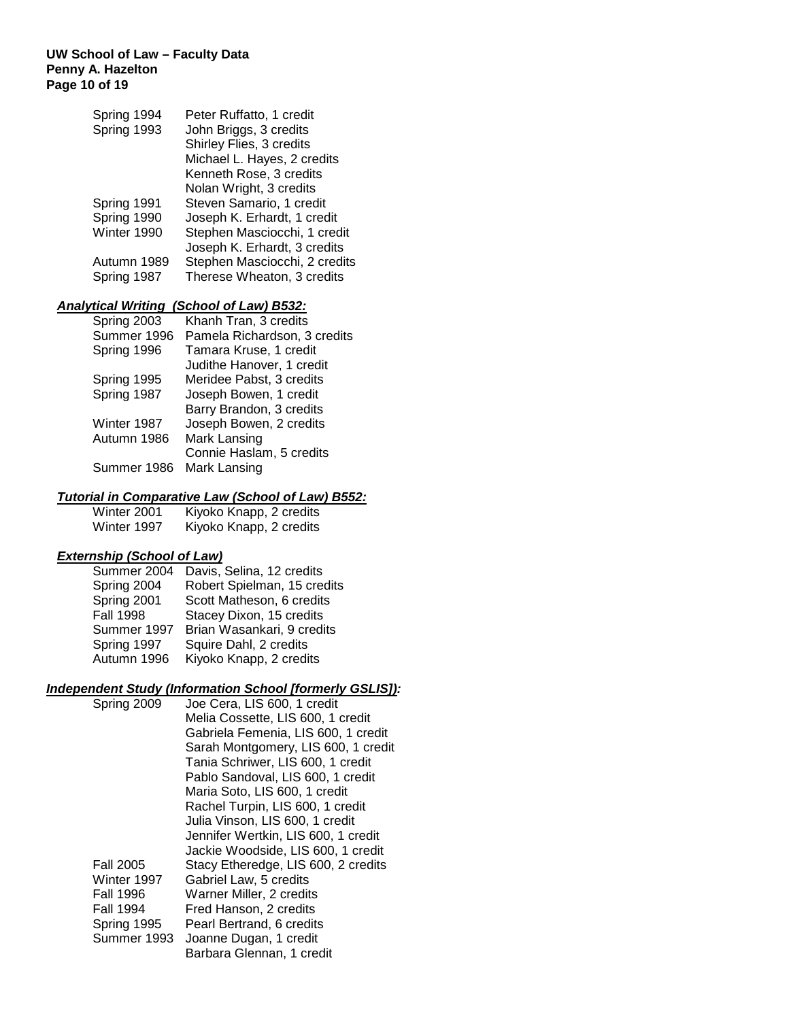## **UW School of Law – Faculty Data Penny A. Hazelton Page 10 of 19**

| Spring 1994                | Peter Ruffatto, 1 credit                                    |
|----------------------------|-------------------------------------------------------------|
| Spring 1993                | John Briggs, 3 credits                                      |
|                            | Shirley Flies, 3 credits                                    |
|                            | Michael L. Hayes, 2 credits                                 |
|                            | Kenneth Rose, 3 credits                                     |
|                            | Nolan Wright, 3 credits                                     |
| Spring 1991                | Steven Samario, 1 credit                                    |
| Spring 1990                | Joseph K. Erhardt, 1 credit                                 |
| Winter 1990                | Stephen Masciocchi, 1 credit                                |
|                            | Joseph K. Erhardt, 3 credits                                |
| Autumn 1989<br>Spring 1987 | Stephen Masciocchi, 2 credits<br>Therese Wheaton, 3 credits |
|                            |                                                             |

## *Analytical Writing (School of Law) B532:*

| Spring 2003 | Khanh Tran, 3 credits        |
|-------------|------------------------------|
| Summer 1996 | Pamela Richardson, 3 credits |
| Spring 1996 | Tamara Kruse, 1 credit       |
|             | Judithe Hanover, 1 credit    |
| Spring 1995 | Meridee Pabst, 3 credits     |
| Spring 1987 | Joseph Bowen, 1 credit       |
|             | Barry Brandon, 3 credits     |
| Winter 1987 | Joseph Bowen, 2 credits      |
| Autumn 1986 | Mark Lansing                 |
|             | Connie Haslam, 5 credits     |
| Summer 1986 | Mark Lansing                 |
|             |                              |

## *Tutorial in Comparative Law (School of Law) B552:*

| Winter 2001 | Kiyoko Knapp, 2 credits |
|-------------|-------------------------|
| Winter 1997 | Kiyoko Knapp, 2 credits |

## *Externship (School of Law)*

| Summer 2004      | Davis, Selina, 12 credits   |
|------------------|-----------------------------|
| Spring 2004      | Robert Spielman, 15 credits |
| Spring 2001      | Scott Matheson, 6 credits   |
| <b>Fall 1998</b> | Stacey Dixon, 15 credits    |
| Summer 1997      | Brian Wasankari, 9 credits  |
| Spring 1997      | Squire Dahl, 2 credits      |
| Autumn 1996      | Kiyoko Knapp, 2 credits     |

## *Independent Study (Information School [formerly GSLIS]):*

| Spring 2009      | Joe Cera, LIS 600, 1 credit         |
|------------------|-------------------------------------|
|                  | Melia Cossette, LIS 600, 1 credit   |
|                  | Gabriela Femenia, LIS 600, 1 credit |
|                  | Sarah Montgomery, LIS 600, 1 credit |
|                  | Tania Schriwer, LIS 600, 1 credit   |
|                  | Pablo Sandoval, LIS 600, 1 credit   |
|                  | Maria Soto, LIS 600, 1 credit       |
|                  | Rachel Turpin, LIS 600, 1 credit    |
|                  | Julia Vinson, LIS 600, 1 credit     |
|                  | Jennifer Wertkin, LIS 600, 1 credit |
|                  | Jackie Woodside, LIS 600, 1 credit  |
| <b>Fall 2005</b> | Stacy Etheredge, LIS 600, 2 credits |
| Winter 1997      | Gabriel Law, 5 credits              |
| Fall 1996        | Warner Miller, 2 credits            |
| Fall 1994        | Fred Hanson, 2 credits              |
| Spring 1995      | Pearl Bertrand, 6 credits           |
| Summer 1993      | Joanne Dugan, 1 credit              |
|                  | Barbara Glennan, 1 credit           |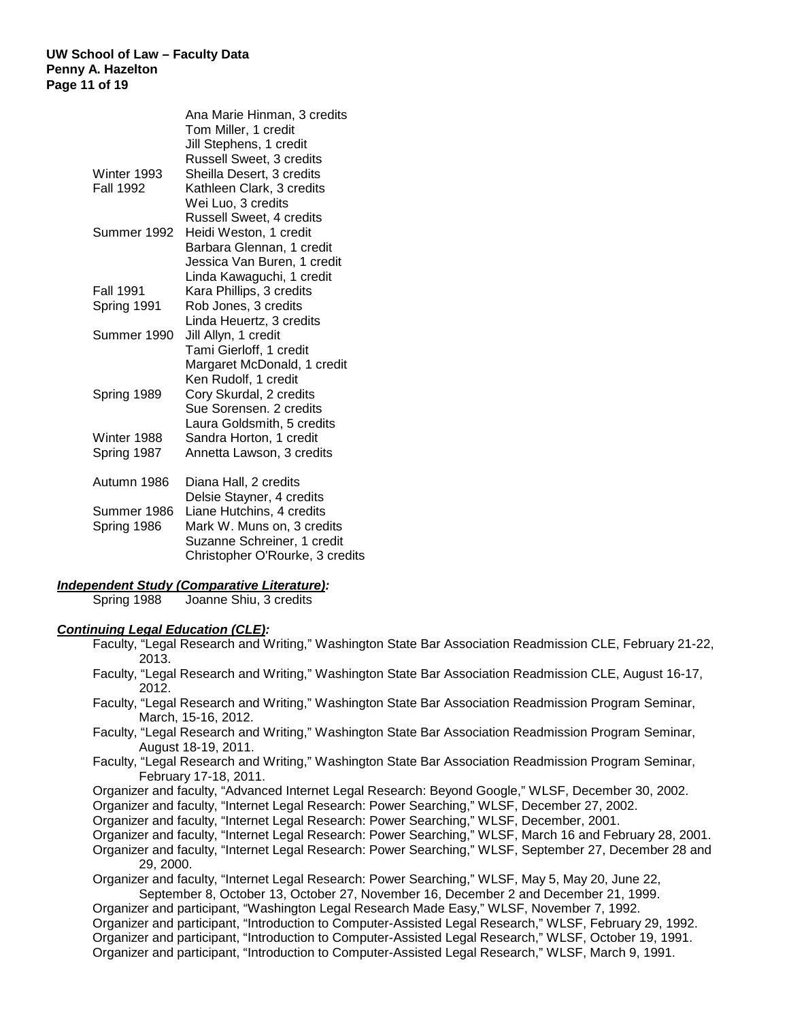#### **UW School of Law – Faculty Data Penny A. Hazelton Page 11 of 19**

|                  | Ana Marie Hinman, 3 credits     |
|------------------|---------------------------------|
|                  | Tom Miller, 1 credit            |
|                  | Jill Stephens, 1 credit         |
|                  | Russell Sweet, 3 credits        |
| Winter 1993      | Sheilla Desert, 3 credits       |
| <b>Fall 1992</b> | Kathleen Clark, 3 credits       |
|                  | Wei Luo, 3 credits              |
|                  | <b>Russell Sweet, 4 credits</b> |
| Summer 1992      | Heidi Weston, 1 credit          |
|                  | Barbara Glennan, 1 credit       |
|                  | Jessica Van Buren, 1 credit     |
|                  | Linda Kawaguchi, 1 credit       |
| <b>Fall 1991</b> | Kara Phillips, 3 credits        |
| Spring 1991      | Rob Jones, 3 credits            |
|                  | Linda Heuertz, 3 credits        |
| Summer 1990      | Jill Allyn, 1 credit            |
|                  | Tami Gierloff, 1 credit         |
|                  | Margaret McDonald, 1 credit     |
|                  | Ken Rudolf, 1 credit            |
| Spring 1989      | Cory Skurdal, 2 credits         |
|                  | Sue Sorensen. 2 credits         |
|                  | Laura Goldsmith, 5 credits      |
| Winter 1988      | Sandra Horton, 1 credit         |
| Spring 1987      | Annetta Lawson, 3 credits       |
|                  |                                 |
| Autumn 1986      | Diana Hall, 2 credits           |
|                  | Delsie Stayner, 4 credits       |
| Summer 1986      | Liane Hutchins, 4 credits       |
| Spring 1986      | Mark W. Muns on, 3 credits      |
|                  | Suzanne Schreiner, 1 credit     |
|                  | Christopher O'Rourke, 3 credits |

# *Independent Study (Comparative Literature):*

Joanne Shiu, 3 credits

## *Continuing Legal Education (CLE):*

- Faculty, "Legal Research and Writing," Washington State Bar Association Readmission CLE, February 21-22, 2013.
- Faculty, "Legal Research and Writing," Washington State Bar Association Readmission CLE, August 16-17, 2012.
- Faculty, "Legal Research and Writing," Washington State Bar Association Readmission Program Seminar, March, 15-16, 2012.
- Faculty, "Legal Research and Writing," Washington State Bar Association Readmission Program Seminar, August 18-19, 2011.
- Faculty, "Legal Research and Writing," Washington State Bar Association Readmission Program Seminar, February 17-18, 2011.
- Organizer and faculty, "Advanced Internet Legal Research: Beyond Google," WLSF, December 30, 2002.

Organizer and faculty, "Internet Legal Research: Power Searching," WLSF, December 27, 2002.

Organizer and faculty, "Internet Legal Research: Power Searching," WLSF, December, 2001.

- Organizer and faculty, "Internet Legal Research: Power Searching," WLSF, March 16 and February 28, 2001.
- Organizer and faculty, "Internet Legal Research: Power Searching," WLSF, September 27, December 28 and 29, 2000.

Organizer and faculty, "Internet Legal Research: Power Searching," WLSF, May 5, May 20, June 22, September 8, October 13, October 27, November 16, December 2 and December 21, 1999.

Organizer and participant, "Washington Legal Research Made Easy," WLSF, November 7, 1992.

Organizer and participant, "Introduction to Computer-Assisted Legal Research," WLSF, February 29, 1992. Organizer and participant, "Introduction to Computer-Assisted Legal Research," WLSF, October 19, 1991. Organizer and participant, "Introduction to Computer-Assisted Legal Research," WLSF, March 9, 1991.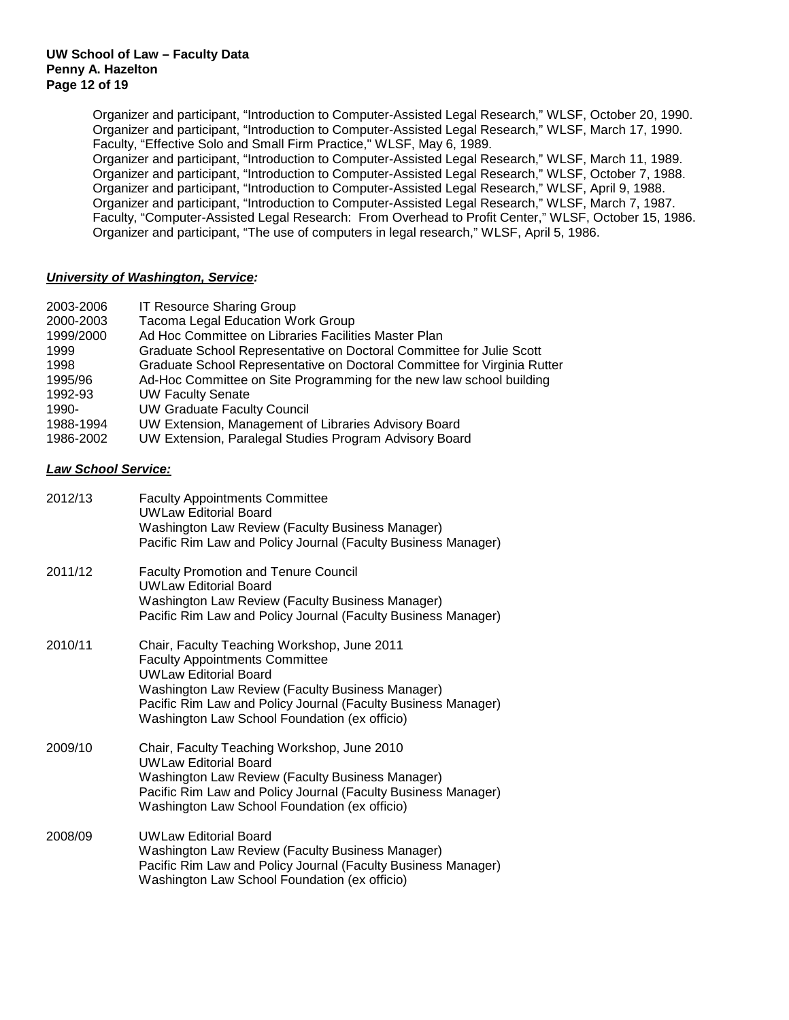Organizer and participant, "Introduction to Computer-Assisted Legal Research," WLSF, October 20, 1990. Organizer and participant, "Introduction to Computer-Assisted Legal Research," WLSF, March 17, 1990. Faculty, "Effective Solo and Small Firm Practice," WLSF, May 6, 1989. Organizer and participant, "Introduction to Computer-Assisted Legal Research," WLSF, March 11, 1989. Organizer and participant, "Introduction to Computer-Assisted Legal Research," WLSF, October 7, 1988. Organizer and participant, "Introduction to Computer-Assisted Legal Research," WLSF, April 9, 1988. Organizer and participant, "Introduction to Computer-Assisted Legal Research," WLSF, March 7, 1987. Faculty, "Computer-Assisted Legal Research: From Overhead to Profit Center," WLSF, October 15, 1986. Organizer and participant, "The use of computers in legal research," WLSF, April 5, 1986.

## *University of Washington, Service:*

| 2003-2006<br>2000-2003<br>1999/2000<br>1999<br>1998<br>1995/96<br>1992-93<br>1990-<br>1988-1994<br>1986-2002 | <b>IT Resource Sharing Group</b><br><b>Tacoma Legal Education Work Group</b><br>Ad Hoc Committee on Libraries Facilities Master Plan<br>Graduate School Representative on Doctoral Committee for Julie Scott<br>Graduate School Representative on Doctoral Committee for Virginia Rutter<br>Ad-Hoc Committee on Site Programming for the new law school building<br><b>UW Faculty Senate</b><br><b>UW Graduate Faculty Council</b><br>UW Extension, Management of Libraries Advisory Board<br>UW Extension, Paralegal Studies Program Advisory Board |
|--------------------------------------------------------------------------------------------------------------|------------------------------------------------------------------------------------------------------------------------------------------------------------------------------------------------------------------------------------------------------------------------------------------------------------------------------------------------------------------------------------------------------------------------------------------------------------------------------------------------------------------------------------------------------|
| <b>Law School Service:</b>                                                                                   |                                                                                                                                                                                                                                                                                                                                                                                                                                                                                                                                                      |
| 2012/13                                                                                                      | <b>Faculty Appointments Committee</b><br><b>UWLaw Editorial Board</b><br>Washington Law Review (Faculty Business Manager)<br>Pacific Rim Law and Policy Journal (Faculty Business Manager)                                                                                                                                                                                                                                                                                                                                                           |
| 2011/12                                                                                                      | <b>Faculty Promotion and Tenure Council</b><br><b>UWLaw Editorial Board</b><br>Washington Law Review (Faculty Business Manager)<br>Pacific Rim Law and Policy Journal (Faculty Business Manager)                                                                                                                                                                                                                                                                                                                                                     |
| 2010/11                                                                                                      | Chair, Faculty Teaching Workshop, June 2011<br><b>Faculty Appointments Committee</b><br><b>UWLaw Editorial Board</b><br>Washington Law Review (Faculty Business Manager)<br>Pacific Rim Law and Policy Journal (Faculty Business Manager)<br>Washington Law School Foundation (ex officio)                                                                                                                                                                                                                                                           |
| 2009/10                                                                                                      | Chair, Faculty Teaching Workshop, June 2010<br><b>UWLaw Editorial Board</b><br>Washington Law Review (Faculty Business Manager)<br>Pacific Rim Law and Policy Journal (Faculty Business Manager)<br>Washington Law School Foundation (ex officio)                                                                                                                                                                                                                                                                                                    |
| 2008/09                                                                                                      | <b>UWLaw Editorial Board</b><br>Washington Law Review (Faculty Business Manager)<br>Pacific Rim Law and Policy Journal (Faculty Business Manager)<br>Washington Law School Foundation (ex officio)                                                                                                                                                                                                                                                                                                                                                   |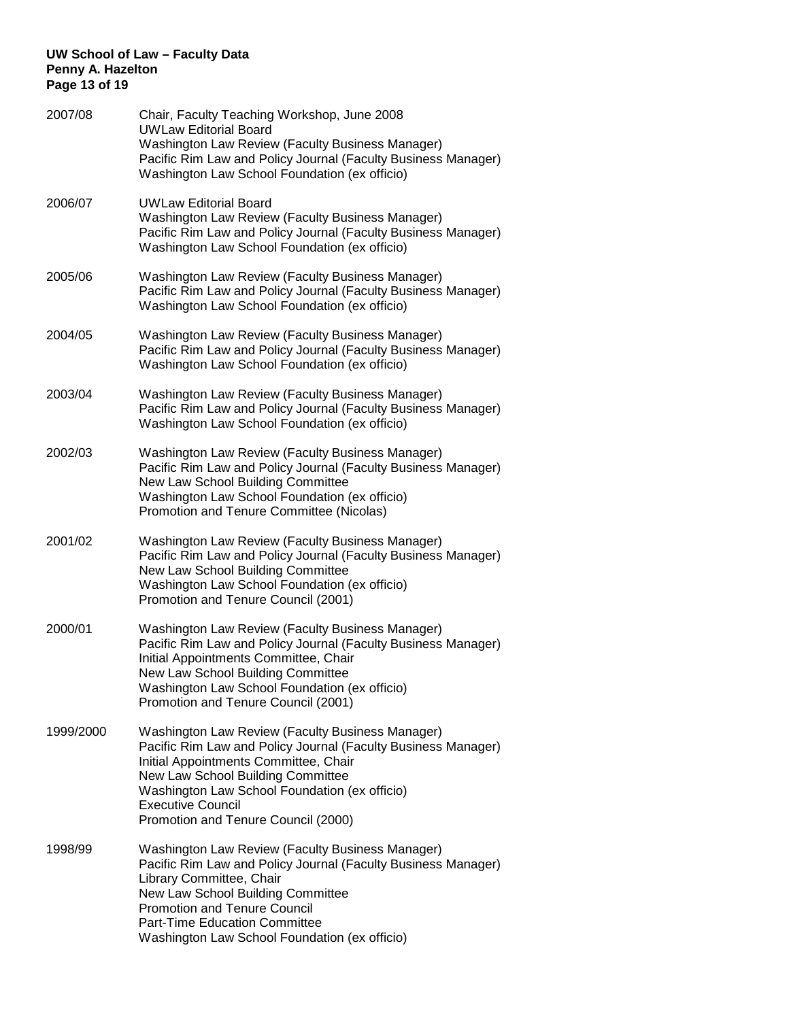## **UW School of Law – Faculty Data Penny A. Hazelton Page 13 of 19**

| 2007/08   | Chair, Faculty Teaching Workshop, June 2008<br><b>UWLaw Editorial Board</b><br>Washington Law Review (Faculty Business Manager)<br>Pacific Rim Law and Policy Journal (Faculty Business Manager)<br>Washington Law School Foundation (ex officio)                                                                   |
|-----------|---------------------------------------------------------------------------------------------------------------------------------------------------------------------------------------------------------------------------------------------------------------------------------------------------------------------|
| 2006/07   | <b>UWLaw Editorial Board</b><br>Washington Law Review (Faculty Business Manager)<br>Pacific Rim Law and Policy Journal (Faculty Business Manager)<br>Washington Law School Foundation (ex officio)                                                                                                                  |
| 2005/06   | Washington Law Review (Faculty Business Manager)<br>Pacific Rim Law and Policy Journal (Faculty Business Manager)<br>Washington Law School Foundation (ex officio)                                                                                                                                                  |
| 2004/05   | Washington Law Review (Faculty Business Manager)<br>Pacific Rim Law and Policy Journal (Faculty Business Manager)<br>Washington Law School Foundation (ex officio)                                                                                                                                                  |
| 2003/04   | Washington Law Review (Faculty Business Manager)<br>Pacific Rim Law and Policy Journal (Faculty Business Manager)<br>Washington Law School Foundation (ex officio)                                                                                                                                                  |
| 2002/03   | Washington Law Review (Faculty Business Manager)<br>Pacific Rim Law and Policy Journal (Faculty Business Manager)<br>New Law School Building Committee<br>Washington Law School Foundation (ex officio)<br>Promotion and Tenure Committee (Nicolas)                                                                 |
| 2001/02   | Washington Law Review (Faculty Business Manager)<br>Pacific Rim Law and Policy Journal (Faculty Business Manager)<br>New Law School Building Committee<br>Washington Law School Foundation (ex officio)<br>Promotion and Tenure Council (2001)                                                                      |
| 2000/01   | Washington Law Review (Faculty Business Manager)<br>Pacific Rim Law and Policy Journal (Faculty Business Manager)<br>Initial Appointments Committee, Chair<br>New Law School Building Committee<br>Washington Law School Foundation (ex officio)<br>Promotion and Tenure Council (2001)                             |
| 1999/2000 | Washington Law Review (Faculty Business Manager)<br>Pacific Rim Law and Policy Journal (Faculty Business Manager)<br>Initial Appointments Committee, Chair<br>New Law School Building Committee<br>Washington Law School Foundation (ex officio)<br><b>Executive Council</b><br>Promotion and Tenure Council (2000) |
| 1998/99   | Washington Law Review (Faculty Business Manager)<br>Pacific Rim Law and Policy Journal (Faculty Business Manager)<br>Library Committee, Chair<br>New Law School Building Committee<br><b>Promotion and Tenure Council</b><br><b>Part-Time Education Committee</b><br>Washington Law School Foundation (ex officio)  |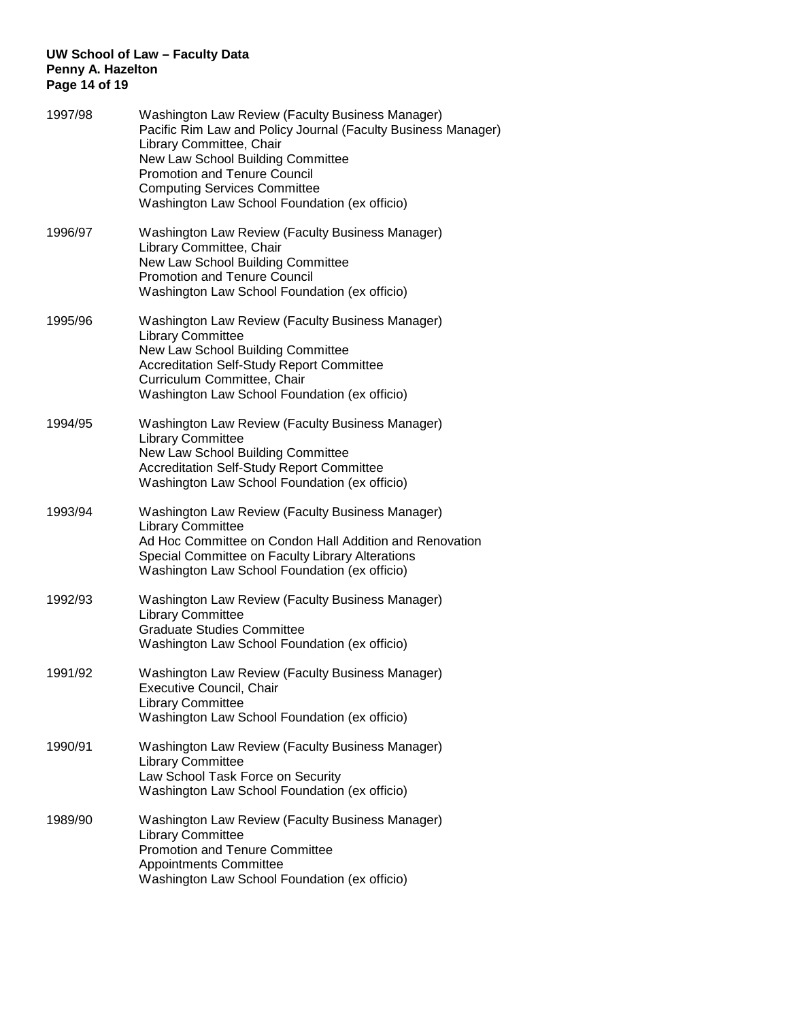## **UW School of Law – Faculty Data Penny A. Hazelton Page 14 of 19**

| 1997/98 | Washington Law Review (Faculty Business Manager)<br>Pacific Rim Law and Policy Journal (Faculty Business Manager)<br>Library Committee, Chair<br>New Law School Building Committee<br><b>Promotion and Tenure Council</b><br><b>Computing Services Committee</b><br>Washington Law School Foundation (ex officio) |
|---------|-------------------------------------------------------------------------------------------------------------------------------------------------------------------------------------------------------------------------------------------------------------------------------------------------------------------|
| 1996/97 | Washington Law Review (Faculty Business Manager)<br>Library Committee, Chair<br>New Law School Building Committee<br><b>Promotion and Tenure Council</b><br>Washington Law School Foundation (ex officio)                                                                                                         |
| 1995/96 | Washington Law Review (Faculty Business Manager)<br><b>Library Committee</b><br>New Law School Building Committee<br><b>Accreditation Self-Study Report Committee</b><br>Curriculum Committee, Chair<br>Washington Law School Foundation (ex officio)                                                             |
| 1994/95 | Washington Law Review (Faculty Business Manager)<br><b>Library Committee</b><br>New Law School Building Committee<br><b>Accreditation Self-Study Report Committee</b><br>Washington Law School Foundation (ex officio)                                                                                            |
| 1993/94 | Washington Law Review (Faculty Business Manager)<br><b>Library Committee</b><br>Ad Hoc Committee on Condon Hall Addition and Renovation<br>Special Committee on Faculty Library Alterations<br>Washington Law School Foundation (ex officio)                                                                      |
| 1992/93 | Washington Law Review (Faculty Business Manager)<br><b>Library Committee</b><br><b>Graduate Studies Committee</b><br>Washington Law School Foundation (ex officio)                                                                                                                                                |
| 1991/92 | Washington Law Review (Faculty Business Manager)<br><b>Executive Council, Chair</b><br><b>Library Committee</b><br>Washington Law School Foundation (ex officio)                                                                                                                                                  |
| 1990/91 | Washington Law Review (Faculty Business Manager)<br><b>Library Committee</b><br>Law School Task Force on Security<br>Washington Law School Foundation (ex officio)                                                                                                                                                |
| 1989/90 | Washington Law Review (Faculty Business Manager)<br><b>Library Committee</b><br><b>Promotion and Tenure Committee</b><br><b>Appointments Committee</b><br>Washington Law School Foundation (ex officio)                                                                                                           |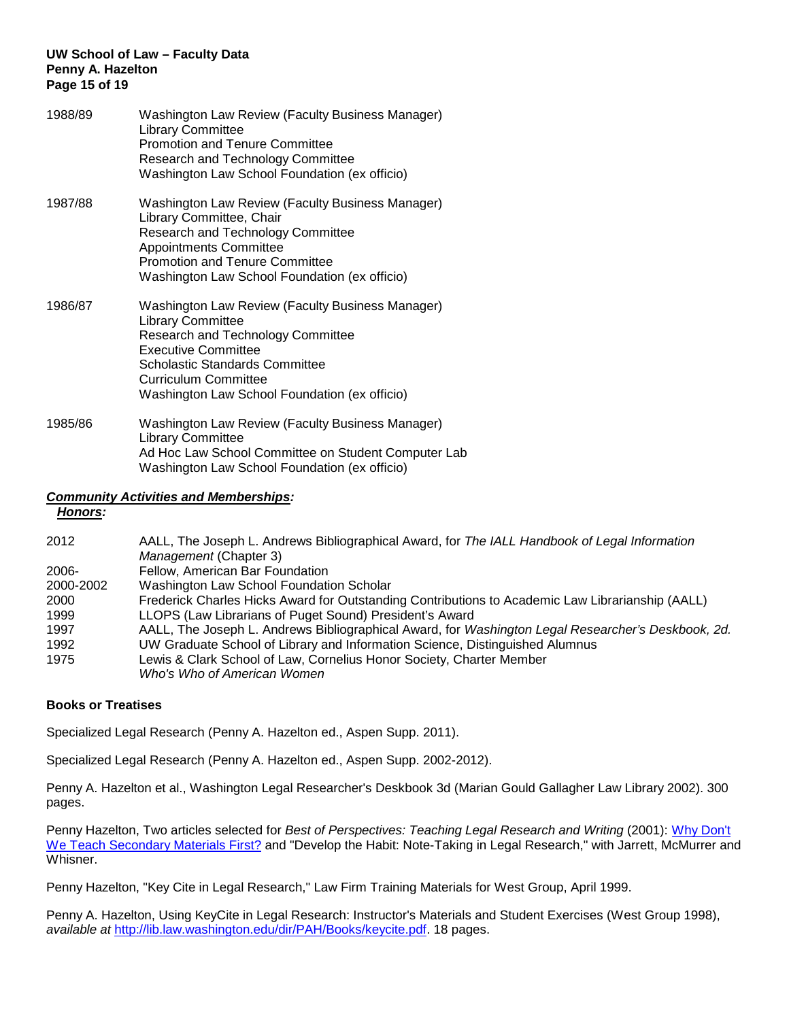## **UW School of Law – Faculty Data Penny A. Hazelton Page 15 of 19**

| 1988/89 | <b>Washington Law Review (Faculty Business Manager)</b><br><b>Library Committee</b><br><b>Promotion and Tenure Committee</b><br>Research and Technology Committee<br>Washington Law School Foundation (ex officio)                                                       |
|---------|--------------------------------------------------------------------------------------------------------------------------------------------------------------------------------------------------------------------------------------------------------------------------|
| 1987/88 | Washington Law Review (Faculty Business Manager)<br>Library Committee, Chair<br>Research and Technology Committee<br><b>Appointments Committee</b><br><b>Promotion and Tenure Committee</b><br>Washington Law School Foundation (ex officio)                             |
| 1986/87 | Washington Law Review (Faculty Business Manager)<br><b>Library Committee</b><br>Research and Technology Committee<br><b>Executive Committee</b><br><b>Scholastic Standards Committee</b><br><b>Curriculum Committee</b><br>Washington Law School Foundation (ex officio) |
| 1985/86 | Washington Law Review (Faculty Business Manager)<br><b>Library Committee</b><br>Ad Hoc Law School Committee on Student Computer Lab                                                                                                                                      |

Washington Law School Foundation (ex officio)

## *Community Activities and Memberships: Honors:*

| 2012      | AALL, The Joseph L. Andrews Bibliographical Award, for The IALL Handbook of Legal Information      |
|-----------|----------------------------------------------------------------------------------------------------|
|           | <i>Management</i> (Chapter 3)                                                                      |
| 2006-     | Fellow, American Bar Foundation                                                                    |
| 2000-2002 | Washington Law School Foundation Scholar                                                           |
| 2000      | Frederick Charles Hicks Award for Outstanding Contributions to Academic Law Librarianship (AALL)   |
| 1999      | LLOPS (Law Librarians of Puget Sound) President's Award                                            |
| 1997      | AALL, The Joseph L. Andrews Bibliographical Award, for Washington Legal Researcher's Deskbook, 2d. |
| 1992      | UW Graduate School of Library and Information Science, Distinguished Alumnus                       |
| 1975      | Lewis & Clark School of Law, Cornelius Honor Society, Charter Member                               |
|           | Who's Who of American Women                                                                        |

## **Books or Treatises**

Specialized Legal Research (Penny A. Hazelton ed., Aspen Supp. 2011).

Specialized Legal Research (Penny A. Hazelton ed., Aspen Supp. 2002-2012).

Penny A. Hazelton et al., Washington Legal Researcher's Deskbook 3d (Marian Gould Gallagher Law Library 2002). 300 pages.

Penny Hazelton, Two articles selected for *Best of Perspectives: Teaching Legal Research and Writing (2001): Why Don't* [We Teach Secondary Materials First?](http://west.thomson.com/pdf/perspec/brt11299.pdf) and "Develop the Habit: Note-Taking in Legal Research," with Jarrett, McMurrer and Whisner.

Penny Hazelton, "Key Cite in Legal Research," Law Firm Training Materials for West Group, April 1999.

Penny A. Hazelton, Using KeyCite in Legal Research: Instructor's Materials and Student Exercises (West Group 1998), *available at* [http://lib.law.washington.edu/dir/PAH/Books/keycite.pdf.](http://lib.law.washington.edu/dir/PAH/Books/keycite.pdf) 18 pages.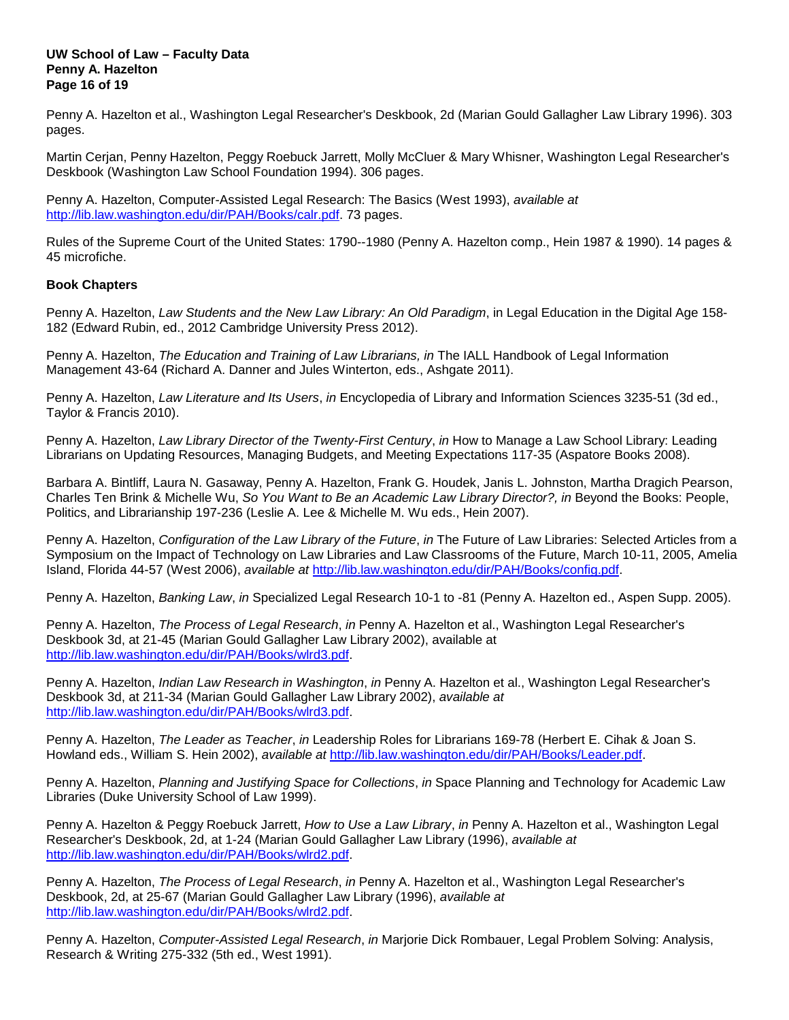#### **UW School of Law – Faculty Data Penny A. Hazelton Page 16 of 19**

Penny A. Hazelton et al., Washington Legal Researcher's Deskbook, 2d (Marian Gould Gallagher Law Library 1996). 303 pages.

Martin Cerjan, Penny Hazelton, Peggy Roebuck Jarrett, Molly McCluer & Mary Whisner, Washington Legal Researcher's Deskbook (Washington Law School Foundation 1994). 306 pages.

Penny A. Hazelton, Computer-Assisted Legal Research: The Basics (West 1993), *available at* [http://lib.law.washington.edu/dir/PAH/Books/calr.pdf.](http://lib.law.washington.edu/dir/PAH/Books/calr.pdf) 73 pages.

Rules of the Supreme Court of the United States: 1790--1980 (Penny A. Hazelton comp., Hein 1987 & 1990). 14 pages & 45 microfiche.

## **Book Chapters**

Penny A. Hazelton, *Law Students and the New Law Library: An Old Paradigm*, in Legal Education in the Digital Age 158- 182 (Edward Rubin, ed., 2012 Cambridge University Press 2012).

Penny A. Hazelton, *The Education and Training of Law Librarians, in* The IALL Handbook of Legal Information Management 43-64 (Richard A. Danner and Jules Winterton, eds., Ashgate 2011).

Penny A. Hazelton, *Law Literature and Its Users*, *in* Encyclopedia of Library and Information Sciences 3235-51 (3d ed., Taylor & Francis 2010).

Penny A. Hazelton, *Law Library Director of the Twenty-First Century*, *in* How to Manage a Law School Library: Leading Librarians on Updating Resources, Managing Budgets, and Meeting Expectations 117-35 (Aspatore Books 2008).

Barbara A. Bintliff, Laura N. Gasaway, Penny A. Hazelton, Frank G. Houdek, Janis L. Johnston, Martha Dragich Pearson, Charles Ten Brink & Michelle Wu, *So You Want to Be an Academic Law Library Director?, in* Beyond the Books: People, Politics, and Librarianship 197-236 (Leslie A. Lee & Michelle M. Wu eds., Hein 2007).

Penny A. Hazelton, *Configuration of the Law Library of the Future*, *in* The Future of Law Libraries: Selected Articles from a Symposium on the Impact of Technology on Law Libraries and Law Classrooms of the Future, March 10-11, 2005, Amelia Island, Florida 44-57 (West 2006), *available at* [http://lib.law.washington.edu/dir/PAH/Books/config.pdf.](http://lib.law.washington.edu/dir/PAH/Books/config.pdf)

Penny A. Hazelton, *Banking Law*, *in* Specialized Legal Research 10-1 to -81 (Penny A. Hazelton ed., Aspen Supp. 2005).

Penny A. Hazelton, *The Process of Legal Research*, *in* Penny A. Hazelton et al., Washington Legal Researcher's Deskbook 3d, at 21-45 (Marian Gould Gallagher Law Library 2002), available at [http://lib.law.washington.edu/dir/PAH/Books/wlrd3.pdf.](http://lib.law.washington.edu/dir/PAH/Books/wlrd3.pdf)

Penny A. Hazelton, *Indian Law Research in Washington*, *in* Penny A. Hazelton et al., Washington Legal Researcher's Deskbook 3d, at 211-34 (Marian Gould Gallagher Law Library 2002), *available at* [http://lib.law.washington.edu/dir/PAH/Books/wlrd3.pdf.](http://lib.law.washington.edu/dir/PAH/Books/wlrd3.pdf)

Penny A. Hazelton, *The Leader as Teacher*, *in* Leadership Roles for Librarians 169-78 (Herbert E. Cihak & Joan S. Howland eds., William S. Hein 2002), *available at* [http://lib.law.washington.edu/dir/PAH/Books/Leader.pdf.](http://lib.law.washington.edu/dir/PAH/Books/Leader.pdf)

Penny A. Hazelton, *Planning and Justifying Space for Collections*, *in* Space Planning and Technology for Academic Law Libraries (Duke University School of Law 1999).

Penny A. Hazelton & Peggy Roebuck Jarrett, *How to Use a Law Library*, *in* Penny A. Hazelton et al., Washington Legal Researcher's Deskbook, 2d, at 1-24 (Marian Gould Gallagher Law Library (1996), *available at* [http://lib.law.washington.edu/dir/PAH/Books/wlrd2.pdf.](http://lib.law.washington.edu/dir/PAH/Books/wlrd2.pdf)

Penny A. Hazelton, *The Process of Legal Research*, *in* Penny A. Hazelton et al., Washington Legal Researcher's Deskbook, 2d, at 25-67 (Marian Gould Gallagher Law Library (1996), *available at* [http://lib.law.washington.edu/dir/PAH/Books/wlrd2.pdf.](http://lib.law.washington.edu/dir/PAH/Books/wlrd2.pdf)

Penny A. Hazelton, *Computer-Assisted Legal Research*, *in* Marjorie Dick Rombauer, Legal Problem Solving: Analysis, Research & Writing 275-332 (5th ed., West 1991).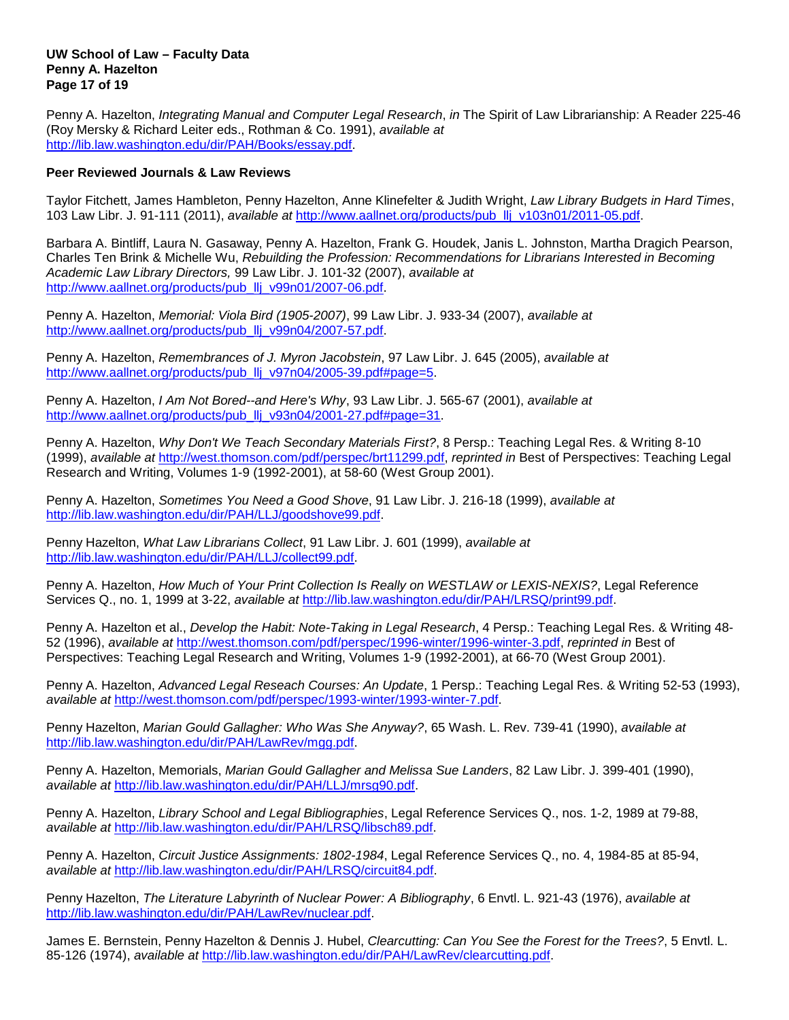## **UW School of Law – Faculty Data Penny A. Hazelton Page 17 of 19**

Penny A. Hazelton, *Integrating Manual and Computer Legal Research*, *in* The Spirit of Law Librarianship: A Reader 225-46 (Roy Mersky & Richard Leiter eds., Rothman & Co. 1991), *available at* [http://lib.law.washington.edu/dir/PAH/Books/essay.pdf.](http://lib.law.washington.edu/dir/PAH/Books/essay.pdf)

## **Peer Reviewed Journals & Law Reviews**

Taylor Fitchett, James Hambleton, Penny Hazelton, Anne Klinefelter & Judith Wright, *Law Library Budgets in Hard Times*, 103 Law Libr. J. 91-111 (2011), *available at* [http://www.aallnet.org/products/pub\\_llj\\_v103n01/2011-05.pdf.](http://www.aallnet.org/products/pub_llj_v103n01/2011-05.pdf)

Barbara A. Bintliff, Laura N. Gasaway, Penny A. Hazelton, Frank G. Houdek, Janis L. Johnston, Martha Dragich Pearson, Charles Ten Brink & Michelle Wu, *Rebuilding the Profession: Recommendations for Librarians Interested in Becoming Academic Law Library Directors,* 99 Law Libr. J. 101-32 (2007), *available at* [http://www.aallnet.org/products/pub\\_llj\\_v99n01/2007-06.pdf.](http://www.aallnet.org/products/pub_llj_v99n01/2007-06.pdf)

Penny A. Hazelton, *Memorial: Viola Bird (1905-2007)*, 99 Law Libr. J. 933-34 (2007), *available at* [http://www.aallnet.org/products/pub\\_llj\\_v99n04/2007-57.pdf.](http://www.aallnet.org/products/pub_llj_v99n04/2007-57.pdf)

Penny A. Hazelton, *Remembrances of J. Myron Jacobstein*, 97 Law Libr. J. 645 (2005), *available at* [http://www.aallnet.org/products/pub\\_llj\\_v97n04/2005-39.pdf#page=5.](http://www.aallnet.org/products/pub_llj_v97n04/2005-39.pdf#page=5)

Penny A. Hazelton, *I Am Not Bored--and Here's Why*, 93 Law Libr. J. 565-67 (2001), *available at* [http://www.aallnet.org/products/pub\\_llj\\_v93n04/2001-27.pdf#page=31.](http://www.aallnet.org/products/pub_llj_v93n04/2001-27.pdf#page=31)

Penny A. Hazelton, *Why Don't We Teach Secondary Materials First?*, 8 Persp.: Teaching Legal Res. & Writing 8-10 (1999), *available at* [http://west.thomson.com/pdf/perspec/brt11299.pdf,](http://west.thomson.com/pdf/perspec/brt11299.pdf) *reprinted in* Best of Perspectives: Teaching Legal Research and Writing, Volumes 1-9 (1992-2001), at 58-60 (West Group 2001).

Penny A. Hazelton, *Sometimes You Need a Good Shove*, 91 Law Libr. J. 216-18 (1999), *available at* [http://lib.law.washington.edu/dir/PAH/LLJ/goodshove99.pdf.](http://lib.law.washington.edu/dir/PAH/LLJ/goodshove99.pdf)

Penny Hazelton, *What Law Librarians Collect*, 91 Law Libr. J. 601 (1999), *available at* [http://lib.law.washington.edu/dir/PAH/LLJ/collect99.pdf.](http://lib.law.washington.edu/dir/PAH/LLJ/collect99.pdf)

Penny A. Hazelton, *How Much of Your Print Collection Is Really on WESTLAW or LEXIS-NEXIS?*, Legal Reference Services Q., no. 1, 1999 at 3-22, *available at* [http://lib.law.washington.edu/dir/PAH/LRSQ/print99.pdf.](http://lib.law.washington.edu/dir/PAH/LRSQ/print99.pdf)

Penny A. Hazelton et al., *Develop the Habit: Note-Taking in Legal Research*, 4 Persp.: Teaching Legal Res. & Writing 48- 52 (1996), *available at* [http://west.thomson.com/pdf/perspec/1996-winter/1996-winter-3.pdf,](http://west.thomson.com/pdf/perspec/1996-winter/1996-winter-3.pdf) *reprinted in* Best of Perspectives: Teaching Legal Research and Writing, Volumes 1-9 (1992-2001), at 66-70 (West Group 2001).

Penny A. Hazelton, *Advanced Legal Reseach Courses: An Update*, 1 Persp.: Teaching Legal Res. & Writing 52-53 (1993), *available at* [http://west.thomson.com/pdf/perspec/1993-winter/1993-winter-7.pdf.](http://west.thomson.com/pdf/perspec/1993-winter/1993-winter-7.pdf)

Penny Hazelton, *Marian Gould Gallagher: Who Was She Anyway?*, 65 Wash. L. Rev. 739-41 (1990), *available at* [http://lib.law.washington.edu/dir/PAH/LawRev/mgg.pdf.](http://lib.law.washington.edu/dir/PAH/LawRev/mgg.pdf)

Penny A. Hazelton, Memorials, *Marian Gould Gallagher and Melissa Sue Landers*, 82 Law Libr. J. 399-401 (1990), *available at* [http://lib.law.washington.edu/dir/PAH/LLJ/mrsg90.pdf.](http://lib.law.washington.edu/dir/PAH/LLJ/mrsg90.pdf)

Penny A. Hazelton, *Library School and Legal Bibliographies*, Legal Reference Services Q., nos. 1-2, 1989 at 79-88, *available at* [http://lib.law.washington.edu/dir/PAH/LRSQ/libsch89.pdf.](http://lib.law.washington.edu/dir/PAH/LRSQ/libsch89.pdf)

Penny A. Hazelton, *Circuit Justice Assignments: 1802-1984*, Legal Reference Services Q., no. 4, 1984-85 at 85-94, *available at* [http://lib.law.washington.edu/dir/PAH/LRSQ/circuit84.pdf.](http://lib.law.washington.edu/dir/PAH/LRSQ/circuit84.pdf)

Penny Hazelton, *The Literature Labyrinth of Nuclear Power: A Bibliography*, 6 Envtl. L. 921-43 (1976), *available at* [http://lib.law.washington.edu/dir/PAH/LawRev/nuclear.pdf.](http://lib.law.washington.edu/dir/PAH/LawRev/nuclear.pdf)

James E. Bernstein, Penny Hazelton & Dennis J. Hubel, *Clearcutting: Can You See the Forest for the Trees?*, 5 Envtl. L. 85-126 (1974), *available at* [http://lib.law.washington.edu/dir/PAH/LawRev/clearcutting.pdf.](http://lib.law.washington.edu/dir/PAH/LawRev/clearcutting.pdf)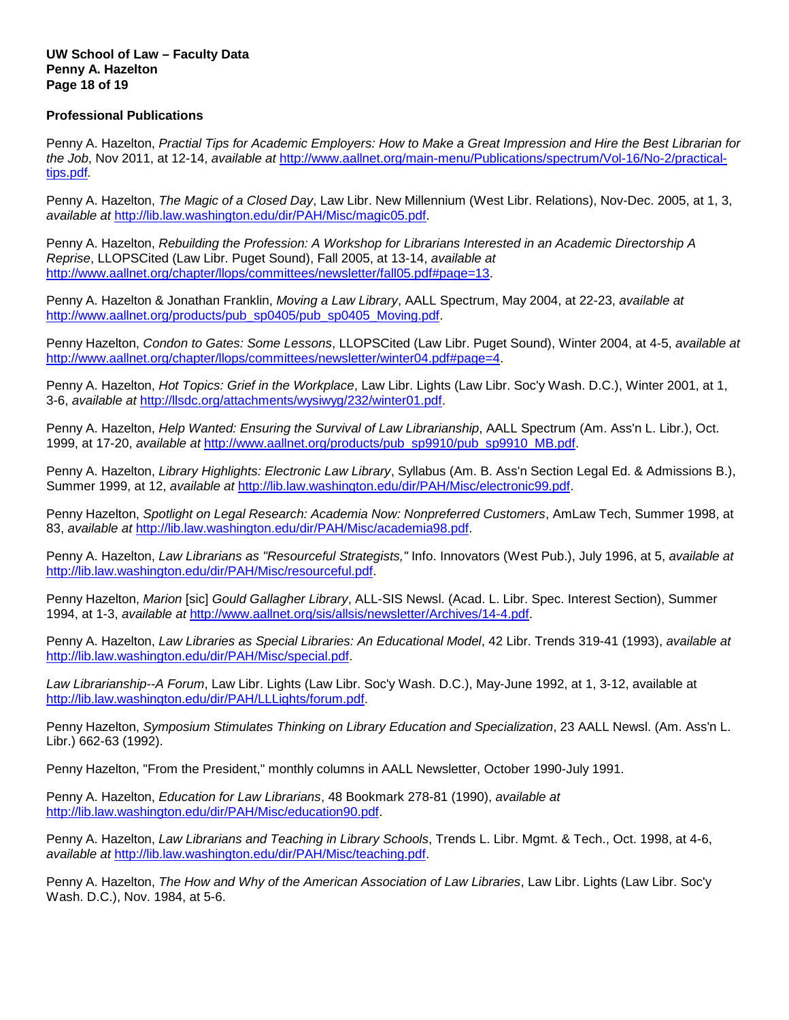## **UW School of Law – Faculty Data Penny A. Hazelton Page 18 of 19**

## **Professional Publications**

Penny A. Hazelton, *Practial Tips for Academic Employers: How to Make a Great Impression and Hire the Best Librarian for the Job*, Nov 2011, at 12-14, *available at* [http://www.aallnet.org/main-menu/Publications/spectrum/Vol-16/No-2/practical](http://www.aallnet.org/main-menu/Publications/spectrum/Vol-16/No-2/practical-tips.pdf)[tips.pdf](http://www.aallnet.org/main-menu/Publications/spectrum/Vol-16/No-2/practical-tips.pdf)*.*

Penny A. Hazelton, *The Magic of a Closed Day*, Law Libr. New Millennium (West Libr. Relations), Nov-Dec. 2005, at 1, 3, *available at* [http://lib.law.washington.edu/dir/PAH/Misc/magic05.pdf.](http://lib.law.washington.edu/dir/PAH/Misc/magic05.pdf)

Penny A. Hazelton, *Rebuilding the Profession: A Workshop for Librarians Interested in an Academic Directorship A Reprise*, LLOPSCited (Law Libr. Puget Sound), Fall 2005, at 13-14, *available at* [http://www.aallnet.org/chapter/llops/committees/newsletter/fall05.pdf#page=13.](http://www.aallnet.org/chapter/llops/committees/newsletter/fall05.pdf#page=13)

Penny A. Hazelton & Jonathan Franklin, *Moving a Law Library*, AALL Spectrum, May 2004, at 22-23, *available at* [http://www.aallnet.org/products/pub\\_sp0405/pub\\_sp0405\\_Moving.pdf.](http://www.aallnet.org/products/pub_sp0405/pub_sp0405_Moving.pdf)

Penny Hazelton, *Condon to Gates: Some Lessons*, LLOPSCited (Law Libr. Puget Sound), Winter 2004, at 4-5, *available at* [http://www.aallnet.org/chapter/llops/committees/newsletter/winter04.pdf#page=4.](http://www.aallnet.org/chapter/llops/committees/newsletter/winter04.pdf#page=4)

Penny A. Hazelton, *Hot Topics: Grief in the Workplace*, Law Libr. Lights (Law Libr. Soc'y Wash. D.C.), Winter 2001, at 1, 3-6, *available at* [http://llsdc.org/attachments/wysiwyg/232/winter01.pdf.](http://llsdc.org/attachments/wysiwyg/232/winter01.pdf)

Penny A. Hazelton, *Help Wanted: Ensuring the Survival of Law Librarianship*, AALL Spectrum (Am. Ass'n L. Libr.), Oct. 1999, at 17-20, *available at* [http://www.aallnet.org/products/pub\\_sp9910/pub\\_sp9910\\_MB.pdf.](http://www.aallnet.org/products/pub_sp9910/pub_sp9910_MB.pdf)

Penny A. Hazelton, *Library Highlights: Electronic Law Library*, Syllabus (Am. B. Ass'n Section Legal Ed. & Admissions B.), Summer 1999, at 12, *available at* [http://lib.law.washington.edu/dir/PAH/Misc/electronic99.pdf.](http://lib.law.washington.edu/dir/PAH/Misc/electronic99.pdf)

Penny Hazelton, *Spotlight on Legal Research: Academia Now: Nonpreferred Customers*, AmLaw Tech, Summer 1998, at 83, *available at* [http://lib.law.washington.edu/dir/PAH/Misc/academia98.pdf.](http://lib.law.washington.edu/dir/PAH/Misc/academia98.pdf)

Penny A. Hazelton, *Law Librarians as "Resourceful Strategists,"* Info. Innovators (West Pub.), July 1996, at 5, *available at* [http://lib.law.washington.edu/dir/PAH/Misc/resourceful.pdf.](http://lib.law.washington.edu/dir/PAH/Misc/resourceful.pdf)

Penny Hazelton, *Marion* [sic] *Gould Gallagher Library*, ALL-SIS Newsl. (Acad. L. Libr. Spec. Interest Section), Summer 1994, at 1-3, *available at* [http://www.aallnet.org/sis/allsis/newsletter/Archives/14-4.pdf.](http://www.aallnet.org/sis/allsis/newsletter/Archives/14-4.pdf)

Penny A. Hazelton, *Law Libraries as Special Libraries: An Educational Model*, 42 Libr. Trends 319-41 (1993), *available at* [http://lib.law.washington.edu/dir/PAH/Misc/special.pdf.](http://lib.law.washington.edu/dir/PAH/Misc/special.pdf)

*Law Librarianship--A Forum*, Law Libr. Lights (Law Libr. Soc'y Wash. D.C.), May-June 1992, at 1, 3-12, available at [http://lib.law.washington.edu/dir/PAH/LLLights/forum.pdf.](http://lib.law.washington.edu/dir/PAH/LLLights/forum.pdf)

Penny Hazelton, *Symposium Stimulates Thinking on Library Education and Specialization*, 23 AALL Newsl. (Am. Ass'n L. Libr.) 662-63 (1992).

Penny Hazelton, "From the President," monthly columns in AALL Newsletter, October 1990-July 1991.

Penny A. Hazelton, *Education for Law Librarians*, 48 Bookmark 278-81 (1990), *available at* [http://lib.law.washington.edu/dir/PAH/Misc/education90.pdf.](http://lib.law.washington.edu/dir/PAH/Misc/education90.pdf)

Penny A. Hazelton, *Law Librarians and Teaching in Library Schools*, Trends L. Libr. Mgmt. & Tech., Oct. 1998, at 4-6, *available at* [http://lib.law.washington.edu/dir/PAH/Misc/teaching.pdf.](http://lib.law.washington.edu/dir/PAH/Misc/teaching.pdf)

Penny A. Hazelton, *The How and Why of the American Association of Law Libraries*, Law Libr. Lights (Law Libr. Soc'y Wash. D.C.), Nov. 1984, at 5-6.